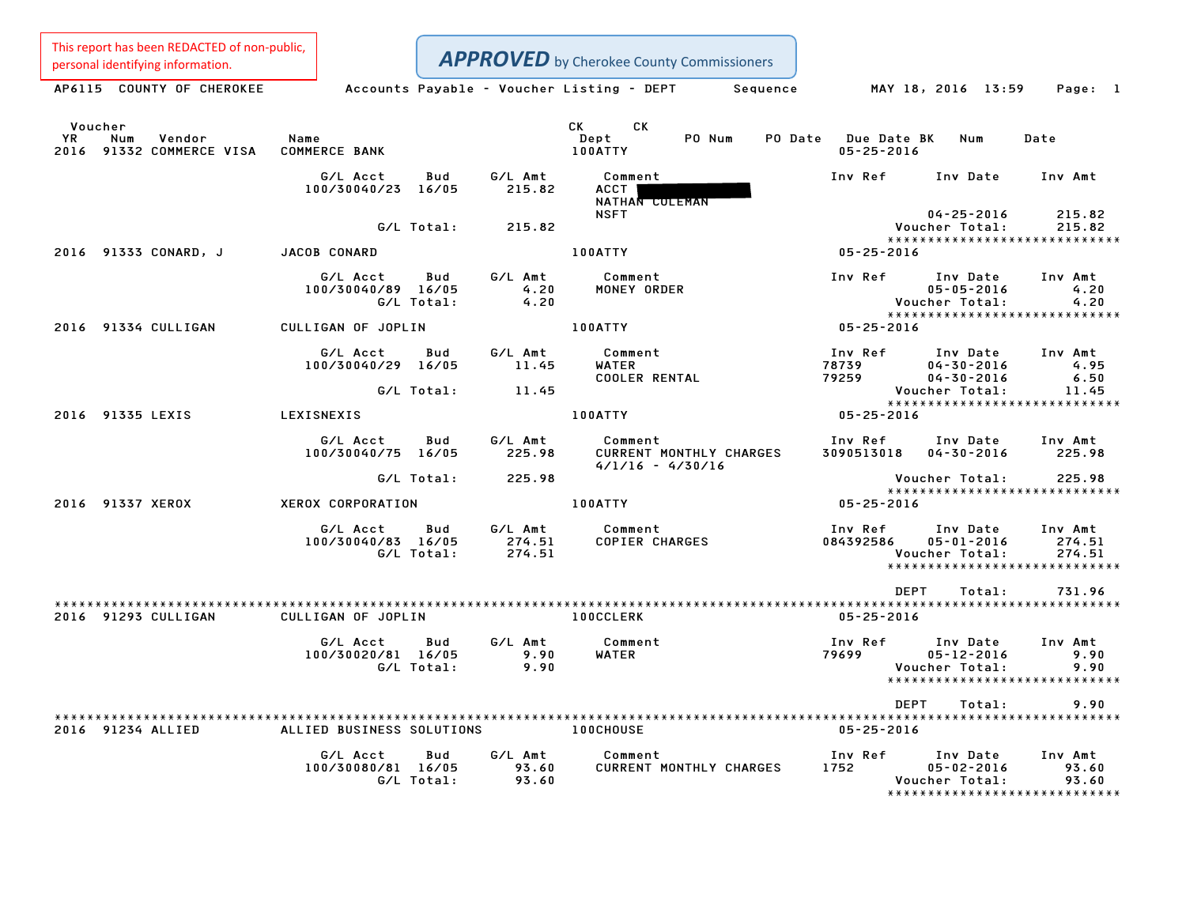This report has been REDACTED of non-public,

Personal identifying information.<br> **APPROVED** by Cherokee County Commissioners<br>
AP6115 COUNTY OF CHEROKEE Accounts Payable - Voucher Listing - DEPT Sequence MAY 18, 2016 13:59 Page: 1

| AP6115 |  | COUNTY OF CHEROKEE |  |
|--------|--|--------------------|--|
|        |  |                    |  |

| YR<br>2016 | Voucher<br>Num    | Vendor<br>91332 COMMERCE VISA | Name<br><b>COMMERCE BANK</b>   |                   |                             | CK CK<br>Dept<br><b>100ATTY</b>                          | PO Num | PO Date Due Date BK<br>$05 - 25 - 2016$ | Num                                              | Date                                                         |
|------------|-------------------|-------------------------------|--------------------------------|-------------------|-----------------------------|----------------------------------------------------------|--------|-----------------------------------------|--------------------------------------------------|--------------------------------------------------------------|
|            |                   |                               | G/L Acct<br>100/30040/23 16/05 | Bud               | G/L Amt<br>215.82           | Comment<br>ACCT<br>NATHAN COLEMAN                        |        | Inv Ref                                 | Inv Date                                         | Inv Amt                                                      |
|            |                   |                               |                                | G/L Total:        | 215.82                      | <b>NSFT</b>                                              |        |                                         | $04 - 25 - 2016$<br>Voucher Total:               | 215.82<br>215.82                                             |
|            |                   | 2016 91333 CONARD, J          | <b>JACOB CONARD</b>            |                   |                             | <b>100ATTY</b>                                           |        | $05 - 25 - 2016$                        |                                                  | ******************************                               |
|            |                   |                               | G/L Acct<br>100/30040/89 16/05 | Bud<br>G/L Total: | G/L Amt<br>4.20<br>4.20     | Comment<br>MONEY ORDER                                   |        | Inv Ref                                 | Inv Date<br>$05 - 05 - 2016$<br>Voucher Total:   | Inv Amt<br>4.20<br>4.20                                      |
|            |                   | 2016 91334 CULLIGAN           | CULLIGAN OF JOPLIN             |                   |                             | <b>100ATTY</b>                                           |        | $05 - 25 - 2016$                        |                                                  | *****************************                                |
|            |                   |                               | G/L Acct<br>100/30040/29 16/05 | Bud               | G/L Amt<br>11.45            | Comment<br>WATER<br><b>COOLER RENTAL</b>                 |        | Inv Ref<br>78739<br>79259               | Inv Date<br>$04 - 30 - 2016$<br>$04 - 30 - 2016$ | Inv Amt<br>4.95<br>6.50                                      |
|            |                   |                               |                                | G/L Total:        | 11.45                       |                                                          |        |                                         | Voucher Total:                                   | 11.45<br>*****************************                       |
|            | 2016 91335 LEXIS  |                               | LEXISNEXIS                     |                   |                             | <b>100ATTY</b>                                           |        | 05-25-2016                              |                                                  |                                                              |
|            |                   |                               | G/L Acct<br>100/30040/75 16/05 | Bud               | G/L Amt<br>225.98           | Comment<br>CURRENT MONTHLY CHARGES<br>$4/1/16 - 4/30/16$ |        | Inv Ref<br>3090513018 04-30-2016        | Inv Date                                         | Inv Amt<br>225.98                                            |
|            |                   |                               |                                | G/L Total:        | 225.98                      |                                                          |        |                                         | Voucher Total:                                   | 225.98<br>*****************************                      |
|            | 2016 91337 XEROX  |                               | XEROX CORPORATION              |                   |                             | 100ATTY                                                  |        | $05 - 25 - 2016$                        |                                                  |                                                              |
|            |                   |                               | G/L Acct<br>100/30040/83 16/05 | Bud<br>G/L Total: | G/L Amt<br>274.51<br>274.51 | Comment<br>COPIER CHARGES                                |        | Inv Ref<br>084392586                    | Inv Date<br>$05 - 01 - 2016$<br>Voucher Total:   | Inv Amt<br>274.51<br>274.51<br>***************************** |
|            |                   |                               |                                |                   |                             |                                                          |        | <b>DEPT</b>                             | Total:                                           | 731.96                                                       |
|            |                   | 2016 91293 CULLIGAN           | CULLIGAN OF JOPLIN             |                   |                             | <b>100CCLERK</b>                                         |        | $05 - 25 - 2016$                        |                                                  |                                                              |
|            |                   |                               | G/L Acct<br>100/30020/81 16/05 | Bud<br>G/L Total: | G/L Amt<br>9.90<br>9.90     | Comment<br>WATER                                         |        | Inv Ref<br>79699                        | Inv Date<br>$05 - 12 - 2016$<br>Voucher Total:   | Inv Amt<br>9.90<br>9.90<br>*****************************     |
|            |                   |                               |                                |                   |                             |                                                          |        | DEPT                                    | Total:                                           | 9.90                                                         |
|            | 2016 91234 ALLIED |                               | ALLIED BUSINESS SOLUTIONS      |                   |                             | <b>100CHOUSE</b>                                         |        | $05 - 25 - 2016$                        |                                                  |                                                              |
|            |                   |                               | G/L Acct<br>100/30080/81 16/05 | Bud<br>G/L Total: | G/L Amt<br>93.60<br>93.60   | Comment<br><b>CURRENT MONTHLY CHARGES</b>                |        | Inv Ref<br>1752                         | Inv Date<br>$05 - 02 - 2016$<br>Voucher Total:   | Inv Amt<br>93.60<br>93.60<br>*****************************   |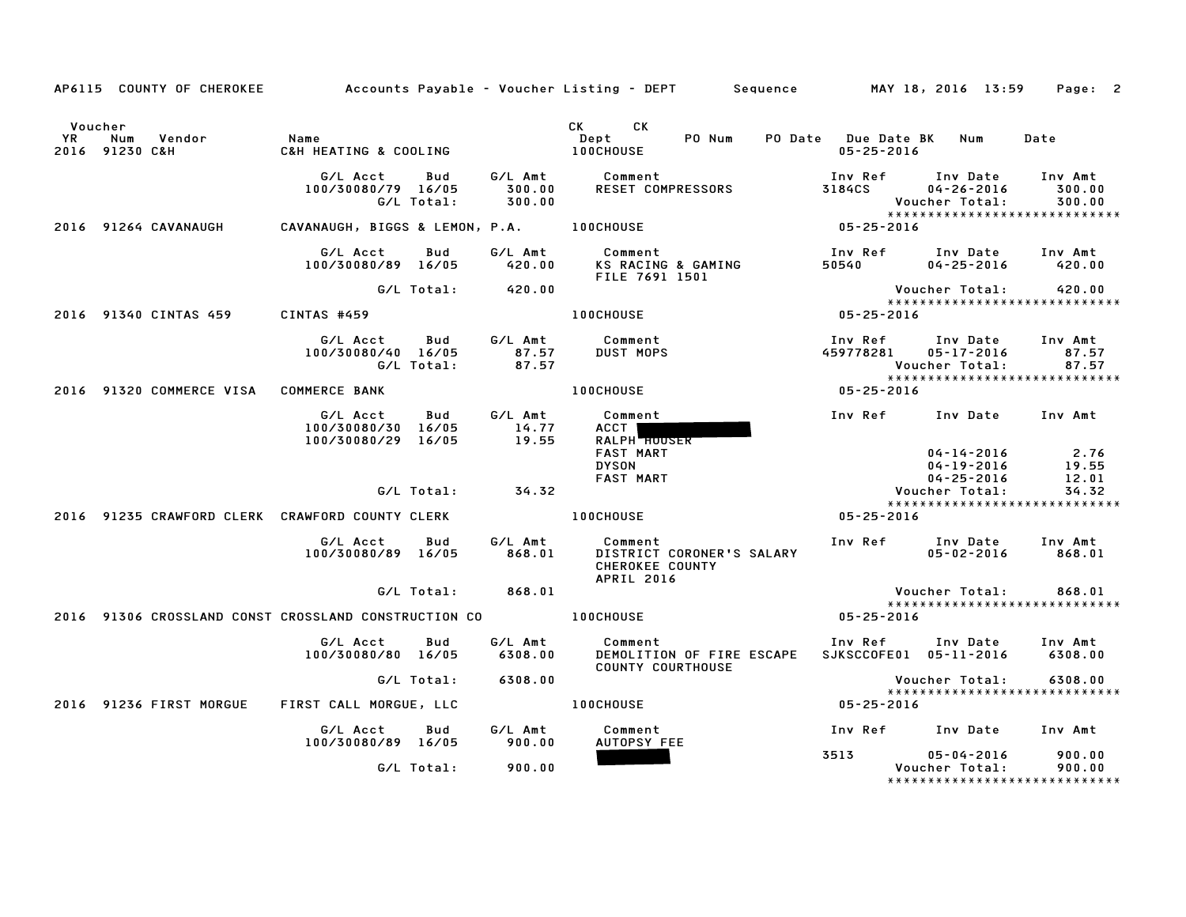|               | AP6115 COUNTY OF CHEROKEE 6 4 Accounts Payable – Voucher Listing – DEPT 5 Sequence 6 MAY 18, 2016 13:59 Page: 2 |                                                      |            |                             |                                                                              |                   |                                                                     |                             |
|---------------|-----------------------------------------------------------------------------------------------------------------|------------------------------------------------------|------------|-----------------------------|------------------------------------------------------------------------------|-------------------|---------------------------------------------------------------------|-----------------------------|
| Voucher<br>YR | Vendor<br>Num<br>2016 91230 C&H                                                                                 | Name<br>C&H HEATING & COOLING                        |            |                             | CK CK<br>PO Num<br>Dept<br><b>100CHOUSE</b>                                  | $05 - 25 - 2016$  | PO Date Due Date BK Num                                             | Date                        |
|               |                                                                                                                 | G/L Acct<br>100/30080/79 16/05<br>G/L Total:         | Bud        | G/L Amt<br>300.00<br>300.00 | Comment<br><b>RESET COMPRESSORS</b>                                          | Inv Ref<br>3184CS | Inv Date<br>$04 - 26 - 2016$<br>Voucher Total:                      | Inv Amt<br>300.00<br>300.00 |
|               | 2016 91264 CAVANAUGH                                                                                            | CAVANAUGH, BIGGS & LEMON, P.A. 100CHOUSE             |            |                             |                                                                              | $05 - 25 - 2016$  |                                                                     |                             |
|               |                                                                                                                 | G/L Acct<br>100/30080/89 16/05                       | Bud        | G/L Amt<br>420.00           | Comment<br>KS RACING & GAMING<br>FILE 7691 1501                              |                   | Inv Ref      Inv Date     Inv Amt<br>50540 04-25-2016 420.00        |                             |
|               |                                                                                                                 |                                                      | G/L Total: | 420.00                      |                                                                              |                   | Voucher Total:                                                      | 420.00                      |
|               | 2016 91340 CINTAS 459                                                                                           | <b>CINTAS #459</b>                                   |            |                             | <b>100CHOUSE</b>                                                             | $05 - 25 - 2016$  | ******************************                                      |                             |
|               |                                                                                                                 | G/L Acct Bud<br>100/30080/40 16/05                   | G/L Total: | G/L Amt<br>87.57<br>87.57   | Comment<br><b>DUST MOPS</b>                                                  |                   | Inv Ref      Inv Date<br>459778281 05-17-2016<br>Voucher Total:     | Inv Amt<br>87.57<br>87.57   |
|               | 2016 91320 COMMERCE VISA COMMERCE BANK                                                                          |                                                      |            |                             | <b>100CHOUSE</b>                                                             | $05 - 25 - 2016$  |                                                                     |                             |
|               |                                                                                                                 | G/L Acct<br>100/30080/30 16/05<br>100/30080/29 16/05 | Bud        | G/L Amt<br>14.77<br>19.55   | Comment<br>ACCT I<br><b>RALPH HOUSER</b><br><b>FAST MART</b><br><b>DYSON</b> |                   | Inv Ref Inv Date Inv Amt<br>$04 - 14 - 2016$ 2.76<br>04-19-2016     | 19.55                       |
|               |                                                                                                                 |                                                      | G/L Total: | 34.32                       | <b>FAST MART</b>                                                             |                   | $04 - 25 - 2016$<br>Voucher Total:                                  | 12.01<br>34.32              |
|               | 2016 91235 CRAWFORD CLERK CRAWFORD COUNTY CLERK                                                                 |                                                      |            |                             | <b>100CHOUSE</b>                                                             | 05-25-2016        | *****************************                                       |                             |
|               |                                                                                                                 | G/L Acct<br>100/30080/89 16/05                       | Bud        | G/L Amt<br>868.01           | Comment<br>DISTRICT CORONER'S SALARY<br>CHEROKEE COUNTY<br><b>APRIL 2016</b> |                   | Inv Ref Inv Date Inv Amt<br>05-02-2016                              | 868.01                      |
|               |                                                                                                                 |                                                      | G/L Total: | 868.01                      |                                                                              |                   | Voucher Total:                                                      | 868.01                      |
|               | 2016 91306 CROSSLAND CONST CROSSLAND CONSTRUCTION CO                                                            |                                                      |            |                             | <b>100CHOUSE</b>                                                             | 05-25-2016        | *****************************                                       |                             |
|               |                                                                                                                 | G/L Acct<br>100/30080/80 16/05                       | Bud        | G/L Amt<br>6308.00          | <b>Comment</b><br>DEMOLITION OF FIRE ESCAPE<br><b>COUNTY COURTHOUSE</b>      |                   | Inv Ref Inv Date Inv Amt<br>SJKSCCOFE01 05-11-2016 6308.00          |                             |
|               |                                                                                                                 |                                                      | G/L Total: | 6308.00                     |                                                                              |                   | Voucher Total:                                                      | 6308.00                     |
|               | 2016 91236 FIRST MORGUE                                                                                         | FIRST CALL MORGUE, LLC                               |            |                             | <b>100CHOUSE</b>                                                             | 05-25-2016        | *****************************                                       |                             |
|               |                                                                                                                 | G/L Acct<br>100/30080/89 16/05                       | Bud        | G/L Amt<br>900.00           | Comment<br>AUTOPSY FEE                                                       |                   | Inv Ref Inv Date Inv Amt                                            |                             |
|               |                                                                                                                 |                                                      | G/L Total: | 900.00                      |                                                                              | 3513              | $05 - 04 - 2016$<br>Voucher Total:<br>***************************** | 900.00<br>900.00            |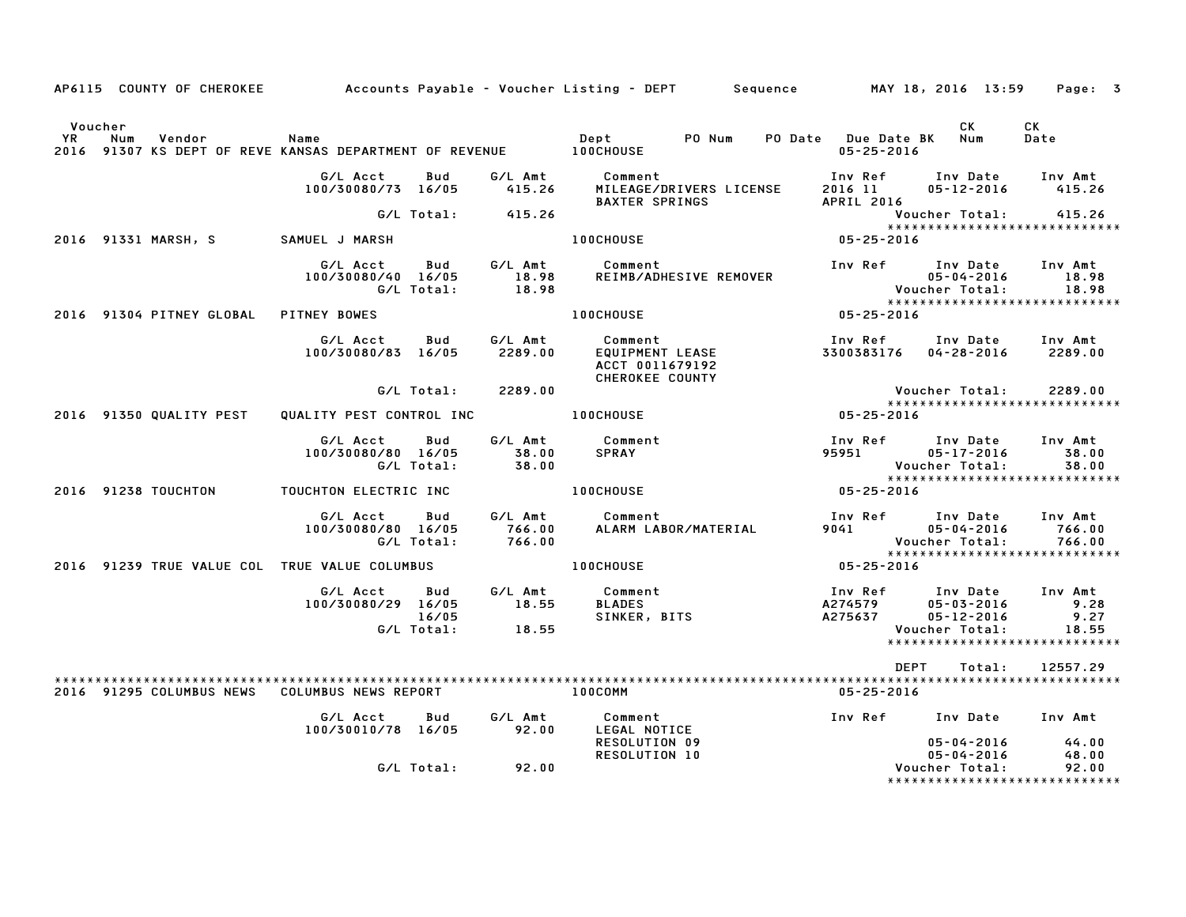|                |     |                          |                                                                           |                     |                             | AP6115 COUNTY OF CHEROKEE          Accounts Payable – Voucher Listing – DEPT     Sequence      MAY 18, 2016 13:59 |                                             |                                                                        | Page: 3                                                  |
|----------------|-----|--------------------------|---------------------------------------------------------------------------|---------------------|-----------------------------|-------------------------------------------------------------------------------------------------------------------|---------------------------------------------|------------------------------------------------------------------------|----------------------------------------------------------|
| Voucher<br>YR. | Num | Vendor                   | Name<br>2016 91307 KS DEPT OF REVE KANSAS DEPARTMENT OF REVENUE 100CHOUSE |                     |                             | PO Num<br>Dept                                                                                                    | PO Date Due Date BK Num<br>$05 - 25 - 2016$ | CK                                                                     | CK<br>Date                                               |
|                |     |                          | G/L Acct<br>100/30080/73 16/05                                            | Bud                 | G/L Amt<br>415.26           | Comment<br>MILEAGE/DRIVERS LICENSE<br>BAXTER SPRINGS                                                              | 2016 11<br>APRIL 2016                       | Inv Ref Inv Date Inv Amt<br>05-12-2016 415.26                          |                                                          |
|                |     |                          |                                                                           | G/L Total:          | 415.26                      |                                                                                                                   |                                             | Voucher Total: 415.26                                                  |                                                          |
|                |     | 2016 91331 MARSH, S      | SAMUEL J MARSH                                                            |                     |                             | <b>100CHOUSE</b>                                                                                                  | 05-25-2016                                  |                                                                        | *****************************                            |
|                |     |                          | G/L Acct Bud<br>100/30080/40 16/05                                        | G/L Total:          | G/L Amt<br>18.98<br>18.98   | Comment<br>REIMB/ADHESIVE REMOVER                                                                                 |                                             | Inv Ref      Inv Date     Inv Amt<br>05-04-2016<br>Voucher Total:      | 18.98<br>18.98                                           |
|                |     | 2016 91304 PITNEY GLOBAL | PITNEY BOWES                                                              |                     |                             | <b>100CHOUSE</b>                                                                                                  | $05 - 25 - 2016$                            |                                                                        |                                                          |
|                |     |                          | G/L Acct<br>100/30080/83 16/05                                            | Bud                 | G/L Amt<br>2289.00          | Comment<br>EQUIPMENT LEASE<br>Comment<br>ACCT 0011679192<br><b>CHEROKEE COUNTY</b>                                |                                             | Inv Ref      Inv Date     Inv Amt<br>3300383176  04-28-2016  2289.00   |                                                          |
|                |     |                          |                                                                           | G/L Total:          | 2289.00                     |                                                                                                                   |                                             | Voucher Total:                                                         | 2289.00                                                  |
|                |     | 2016 91350 QUALITY PEST  | QUALITY PEST CONTROL INC                                                  |                     |                             | <b>100CHOUSE</b>                                                                                                  | $05 - 25 - 2016$                            |                                                                        | *****************************                            |
|                |     |                          | G/L Acct<br>100/30080/80 16/05                                            | Bud<br>G/L Total:   | G/L Amt<br>38.00<br>38.00   | Comment<br><b>SPRAY</b>                                                                                           | 95951                                       | Inv Ref      Inv Date<br>05-17-2016<br>Voucher Total:                  | Inv Amt<br>38.00<br>38.00                                |
|                |     | 2016 91238 TOUCHTON      | TOUCHTON ELECTRIC INC                                                     |                     |                             | <b>100CHOUSE</b>                                                                                                  | $05 - 25 - 2016$                            |                                                                        | *****************************                            |
|                |     |                          | G/L Acct<br>100/30080/80 16/05                                            | Bud<br>G/L Total:   | G/L Amt<br>766.00<br>766.00 | Comment<br>ALARM LABOR/MATERIAL                                                                                   |                                             | Inv Ref Inv Date Inv Amt<br>9041 05-04-2016<br>Voucher Total:          | 766.00<br>766.00<br>*****************************        |
|                |     |                          | 2016 91239 TRUE VALUE COL TRUE VALUE COLUMBUS                             |                     |                             | <b>100CHOUSE</b>                                                                                                  | 05-25-2016                                  |                                                                        |                                                          |
|                |     |                          | G/L Acct Bud<br>100/30080/29 16/05                                        | 16/05<br>G/L Total: | G/L Amt<br>18.55<br>18.55   | Comment<br>BLADES<br>SINKER, BITS                                                                                 | A274579<br>A275637                          | Inv Ref Inv Date Inv Amt<br>05-03-2016<br>05-12-2016<br>Voucher Total: | 9.28<br>9.27<br>18.55<br>*****************************   |
|                |     |                          |                                                                           |                     |                             |                                                                                                                   | DEPT                                        | Total:                                                                 | 12557.29                                                 |
|                |     |                          | 2016 91295 COLUMBUS NEWS COLUMBUS NEWS REPORT                             |                     |                             | 100COMM                                                                                                           | 05-25-2016                                  |                                                                        |                                                          |
|                |     |                          | G/L Acct<br>100/30010/78 16/05                                            | <b>Bud</b>          | G/L Amt<br>92.00            | Comment<br>LEGAL NOTICE                                                                                           |                                             | Inv Ref      Inv Date     Inv Amt                                      |                                                          |
|                |     |                          |                                                                           | G/L Total:          | 92.00                       | <b>RESOLUTION 09</b><br><b>RESOLUTION 10</b>                                                                      |                                             | $05 - 04 - 2016$<br>$05 - 04 - 2016$<br>Voucher Total:                 | 44.00<br>48.00<br>92.00<br>***************************** |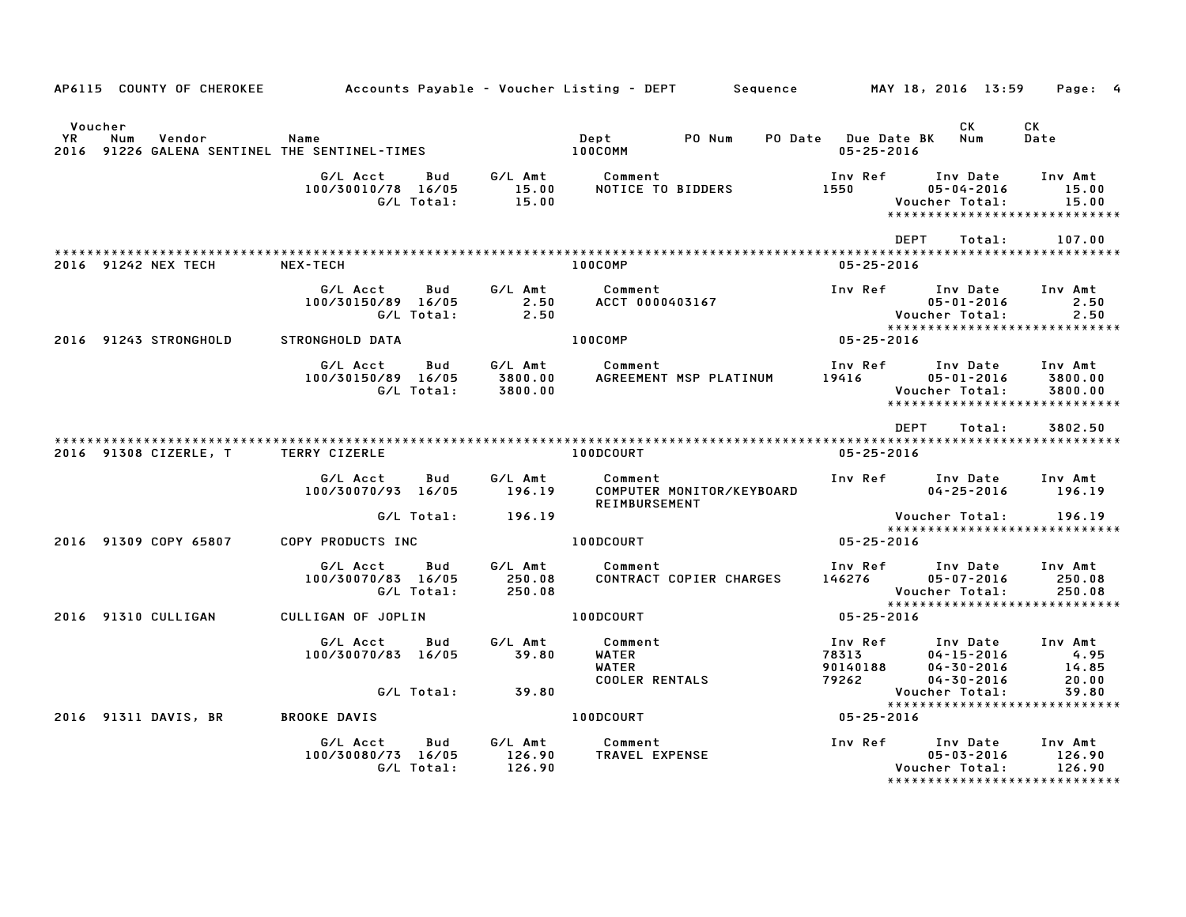|               | AP6115 COUNTY OF CHEROKEE                                      | Accounts Payable – Voucher Listing – DEPT         Sequence           MAY 18, 2016 13:59 |            |                               |                                                           |                           |                                                                                                                                                                                                                                            |                                                                                         | Page: 4                           |
|---------------|----------------------------------------------------------------|-----------------------------------------------------------------------------------------|------------|-------------------------------|-----------------------------------------------------------|---------------------------|--------------------------------------------------------------------------------------------------------------------------------------------------------------------------------------------------------------------------------------------|-----------------------------------------------------------------------------------------|-----------------------------------|
| Voucher<br>YR | Num<br>Vendor<br>2016 91226 GALENA SENTINEL THE SENTINEL-TIMES | Name                                                                                    |            |                               | Dept<br>100COMM                                           | PO Num                    | PO Date Due Date BK<br>$05 - 25 - 2016$                                                                                                                                                                                                    | CK<br>Num                                                                               | CK<br>Date                        |
|               |                                                                | G/L Acct<br>100/30010/78 16/05<br>G/L Total:                                            | Bud        | G⁄L Amt<br>15.00<br>15.00     | Comment                                                   | NOTICE TO BIDDERS         | Inv Ref<br>1550 1561 1562 1562 1563 1564 1565 1565 1565 1565 1565 1565 1566 1566 1566 1566 1566 1566 1566 1566 1566 1566 1566 1566 1566 1566 1566 1566 1566 1566 1566 1566 1566 1566 1566 1566 1566 1566 1566 1566 1566 1566 1566 1566 156 | Inv Date<br>$05 - 04 - 2016$<br>Voucher Total:<br>*****************************         | Inv Amt<br>15.00<br>15.00         |
|               | 2016 91242 NEX TECH                                            | NEX-TECH                                                                                |            |                               | 100COMP                                                   |                           | $05 - 25 - 2016$                                                                                                                                                                                                                           | DEPT<br>Total:                                                                          | 107.00                            |
|               |                                                                | G/L Acct<br>100/30150/89 16/05<br>G/L Total:                                            | Bud        | G/L Amt<br>2.50<br>2.50       | Comment                                                   | ACCT 0000403167           | Inv Ref                                                                                                                                                                                                                                    | Inv Date<br>$05 - 01 - 2016$<br>Voucher Total:                                          | Inv Amt<br>2.50<br>2.50           |
|               | 2016 91243 STRONGHOLD                                          | STRONGHOLD DATA                                                                         |            |                               | $100$ COMP                                                |                           | $05 - 25 - 2016$                                                                                                                                                                                                                           | *****************************                                                           |                                   |
|               |                                                                | G/L Acct<br>100/30150/89 16/05<br>G/L Total:                                            | <b>Bud</b> | G/L Amt<br>3800.00<br>3800.00 | Comment                                                   | AGREEMENT MSP PLATINUM    | Inv Ref<br>19416                                                                                                                                                                                                                           | Inv Date<br>05-01-2016<br>Voucher Total:<br>*****************************               | Inv Amt<br>3800.00<br>3800.00     |
|               | 2016 91308 CIZERLE, T                                          | TERRY CIZERLE                                                                           |            |                               | 100DCOURT                                                 |                           | $05 - 25 - 2016$                                                                                                                                                                                                                           | <b>DEPT</b><br>Total:                                                                   | 3802.50                           |
|               |                                                                | G/L Acct<br>100/30070/93 16/05                                                          | <b>Bud</b> | G/L Amt<br>196.19             | Comment<br>REIMBURSEMENT                                  | COMPUTER MONITOR/KEYBOARD | Inv Ref                                                                                                                                                                                                                                    | Inv Date<br>$04 - 25 - 2016$                                                            | Inv Amt<br>196.19                 |
|               |                                                                |                                                                                         | G/L Total: | 196.19                        |                                                           |                           |                                                                                                                                                                                                                                            | Voucher Total:<br>*****************************                                         | 196.19                            |
|               | 2016 91309 COPY 65807                                          | COPY PRODUCTS INC                                                                       |            |                               | 100DCOURT                                                 |                           | $05 - 25 - 2016$                                                                                                                                                                                                                           |                                                                                         |                                   |
|               |                                                                | G/L Acct<br>100/30070/83 16/05<br>G/L Total:                                            | Bud        | G/L Amt<br>250.08<br>250.08   | Comment                                                   | CONTRACT COPIER CHARGES   | Inv Ref<br>146276                                                                                                                                                                                                                          | Inv Date<br>$05 - 07 - 2016$<br>Voucher Total:                                          | Inv Amt<br>250.08<br>250.08       |
|               | 2016 91310 CULLIGAN                                            | CULLIGAN OF JOPLIN                                                                      |            |                               | 100DCOURT                                                 |                           | $05 - 25 - 2016$                                                                                                                                                                                                                           | *****************************                                                           |                                   |
|               |                                                                | G/L Acct<br>100/30070/83 16/05                                                          | Bud        | G/L Amt<br>39.80              | Comment<br>WATER<br><b>WATER</b><br><b>COOLER RENTALS</b> |                           | Inv Ref<br>78313<br>90140188<br>79262                                                                                                                                                                                                      | Inv Date<br>$04 - 15 - 2016$<br>$04 - 30 - 2016$<br>04-30-2016                          | Inv Amt<br>4.95<br>14.85<br>20.00 |
|               |                                                                |                                                                                         | G/L Total: | 39.80                         |                                                           |                           |                                                                                                                                                                                                                                            | Voucher Total:<br>******************************                                        | 39.80                             |
|               | 2016 91311 DAVIS, BR                                           | <b>BROOKE DAVIS</b>                                                                     |            |                               | 100DCOURT                                                 |                           | 05-25-2016                                                                                                                                                                                                                                 |                                                                                         |                                   |
|               |                                                                | G/L Acct<br>100/30080/73 16/05<br>G/L Total:                                            | Bud        | G/L Amt<br>126.90<br>126.90   | Comment<br>TRAVEL EXPENSE                                 |                           |                                                                                                                                                                                                                                            | Inv Ref Inv Date<br>$05 - 03 - 2016$<br>Voucher Total:<br>***************************** | Inv Amt<br>126.90<br>126.90       |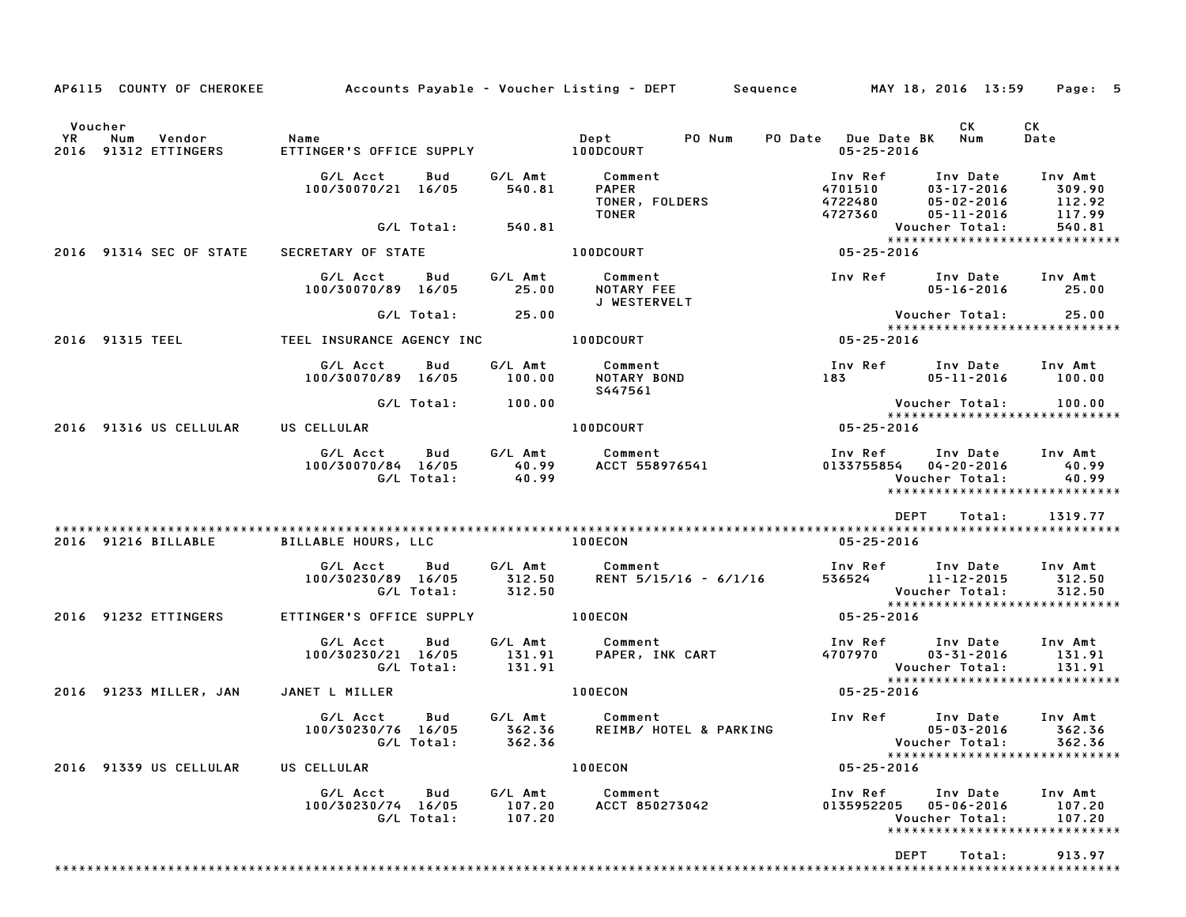|                                                            |                                                     |                             | AP6115 COUNTY OF CHEROKEE Accounts Payable - Voucher Listing - DEPT Sequence MAY 18, 2016 13:59 Page: 5 |                                                                                  |                                                    |                                                               |
|------------------------------------------------------------|-----------------------------------------------------|-----------------------------|---------------------------------------------------------------------------------------------------------|----------------------------------------------------------------------------------|----------------------------------------------------|---------------------------------------------------------------|
| Voucher<br><b>YR</b><br>Num Vendor<br>2016 91312 ETTINGERS | Name                                                |                             |                                                                                                         | PO Date Due Date BK Num<br>$05 - 25 - 2016$                                      | CK                                                 | CK<br>Date                                                    |
|                                                            | G/L Acct<br>Bud<br>100/30070/21 16/05               | 540.81                      | G/L Amt Comment<br>540.81 PAPER<br>TONER, FOLDERS<br>TONER                                              | Inv Ref<br>4701510<br>4722480<br>4727360                                         | Inv Date<br>03-17-2016<br>05-02-2016<br>05-11-2016 | Inv Amt<br>309.90<br>112.92<br>117.99                         |
|                                                            | G/L Total:                                          | 540.81                      |                                                                                                         |                                                                                  | Voucher Total:                                     | 540.81<br>*****************************                       |
| 2016 91314 SEC OF STATE                                    | SECRETARY OF STATE                                  |                             | 100DCOURT AND ACCOUNT                                                                                   | $05 - 25 - 2016$                                                                 |                                                    |                                                               |
|                                                            | G/L Acct<br>Bud<br>100/30070/89 16/05               | 25.00                       | G/L Amt Comment<br>NOTARY FEE<br>J WESTERVELT                                                           | Inv Ref Inv Date Inv Amt                                                         | $05 - 16 - 2016$ 25.00                             |                                                               |
|                                                            | $G/L$ Total: 25.00                                  |                             |                                                                                                         |                                                                                  | Voucher Total: 25.00                               |                                                               |
| 2016 91315 TEEL                                            | TEEL INSURANCE AGENCY INC <b>TEEL</b> 100DCOURT     |                             |                                                                                                         | Voud<br>* * * * *<br>16 - 25 - 25 - 05                                           |                                                    |                                                               |
|                                                            | G/L Acct<br>Bud<br>100/30070/89 16/05               | 100.00                      | G/L Amt Comment<br>NOTARY BOND<br>S447561                                                               | Inv Ref Inv Date Inv Amt<br>183 05-11-2016                                       |                                                    | 100.00                                                        |
|                                                            | G/L Total:                                          | 100.00                      |                                                                                                         |                                                                                  | Voucher Total:          100.00                     |                                                               |
| 2016 91316 US CELLULAR                                     | US CELLULAR                                         |                             | 100DCOURT                                                                                               | $05 - 25 - 2016$                                                                 |                                                    | *****************************                                 |
|                                                            | G/L Acct                                            |                             |                                                                                                         | Inv Ref<br>0133755854 04-20-2016                                                 | Inv Date Inv Amt<br>Voucher Total:                 | 40.99<br>40.99<br>*****************************               |
|                                                            |                                                     |                             |                                                                                                         | DEPT                                                                             | Total:                                             | 1319.77                                                       |
| 2016 91216 BILLABLE                                        | BILLABLE HOURS, LLC                                 |                             | <b>100ECON</b>                                                                                          | 05-25-2016                                                                       |                                                    |                                                               |
|                                                            | G/L Acct<br>Bud<br>100/30230/89 16/05<br>G/L Total: | 312.50<br>312.50            | G/L Amt Comment<br>RENT 5/15/16 - 6/1/16                                                                | Inv Ref        Inv Date      Inv Amt<br>536524          11-12-2015        312.50 | Voucher Total:                                     | 312.50<br>312.50                                              |
| 2016 91232 ETTINGERS                                       | ETTINGER'S OFFICE SUPPLY <b>100ECON</b>             |                             |                                                                                                         | $05 - 25 - 2016$                                                                 |                                                    |                                                               |
|                                                            | G/L Acct<br>Bud                                     |                             | G/L Amt Comment<br>100/30230/21 16/05 131.91 PAPER, INK CART<br>G/L Total: 131.91                       | Inv Ref Inv Date Inv Amt<br>4707970 03-31-2016                                   |                                                    | 131.91                                                        |
| 2016 91233 MILLER, JAN                                     | JANET L MILLER                                      |                             | 100ECON                                                                                                 | $05 - 25 - 2016$                                                                 |                                                    |                                                               |
|                                                            | G/L Acct<br>Bud<br>G/L Total:                       | 362.36                      | G/L Amt Comment<br>100/30230/76 16/05 362.36 REIMB/ HOTEL & PARKING                                     | Inv Ref                                                                          | Inv Date<br>Voucher Total: 362.36                  | Inv Amt<br>05-03-2016 362.36<br>***************************** |
| 2016 91339 US CELLULAR                                     | US CELLULAR                                         |                             | 100ECON                                                                                                 | $05 - 25 - 2016$                                                                 |                                                    |                                                               |
|                                                            | G/L Acct Bud<br>100/30230/74 16/05<br>G/L Total:    | G/L Amt<br>107.20<br>107.20 | Comment<br>ACCT 850273042                                                                               | Inv Ref<br>0135952205 05-06-2016                                                 | Inv Date<br>Voucher Total:                         | Inv Amt<br>107.20<br>107.20<br>*****************************  |
|                                                            |                                                     |                             |                                                                                                         | <b>DEPT</b>                                                                      | Total:                                             | 913.97                                                        |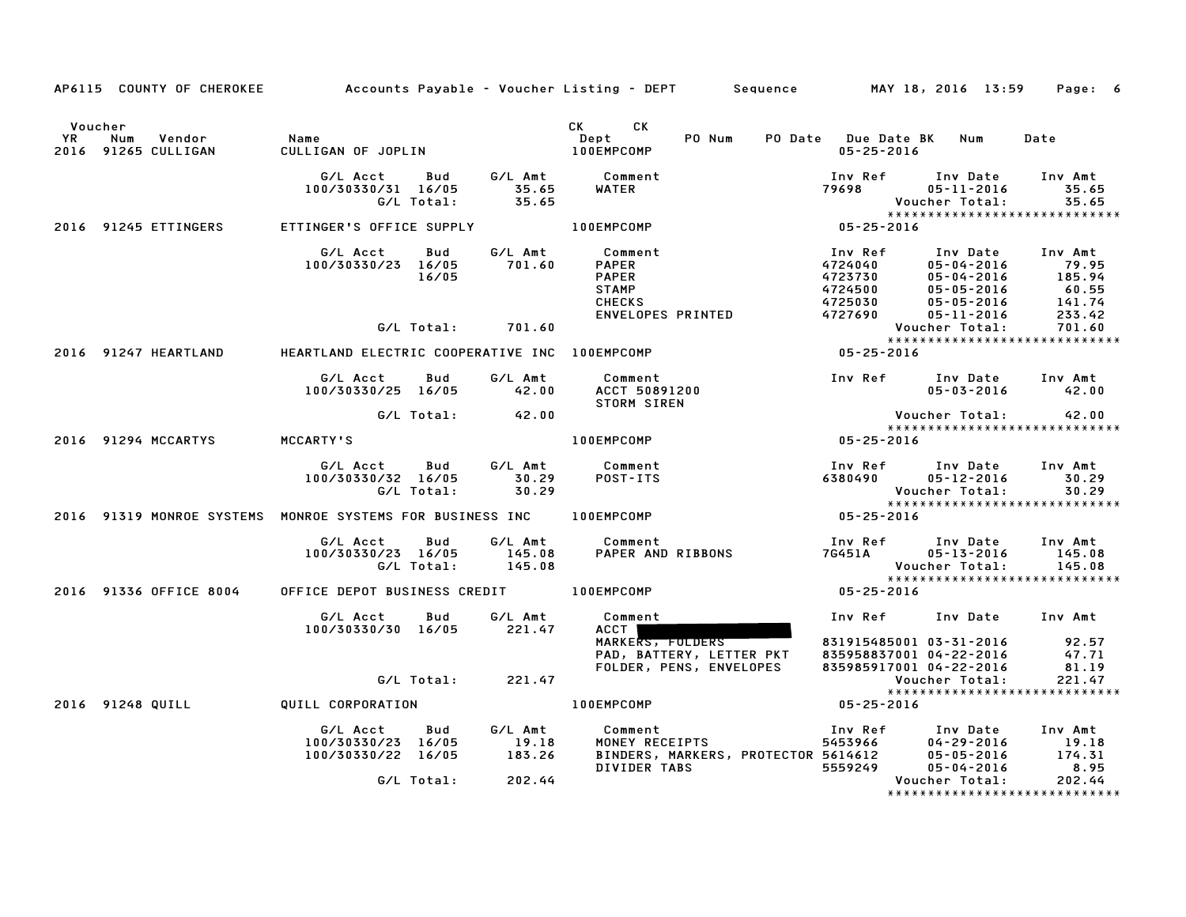|                      |                                                                                         |                   | AP6115 COUNTY OF CHEROKEE Accounts Payable - Voucher Listing - DEPT Sequence MAY 18, 2016 13:59 Page: 6                                                                                                                                 |                                                                                                                                                                                                                                                                                        |        |
|----------------------|-----------------------------------------------------------------------------------------|-------------------|-----------------------------------------------------------------------------------------------------------------------------------------------------------------------------------------------------------------------------------------|----------------------------------------------------------------------------------------------------------------------------------------------------------------------------------------------------------------------------------------------------------------------------------------|--------|
|                      |                                                                                         |                   |                                                                                                                                                                                                                                         |                                                                                                                                                                                                                                                                                        | Date   |
|                      |                                                                                         |                   | 6/L Acct Bud G/L Amt Comment Inv Ref Inv Date Inv Amt<br>100/30330/31 16/05 35.65 WATER 79698 05-11-2016 35.65<br>G/L Total: 35.65 MATER 79698 05-11-2016 35.65<br>ETTINGER'S OFFICE SUPPLY 100EMPCOMP 05-25-2016                       |                                                                                                                                                                                                                                                                                        |        |
| 2016 91245 ETTINGERS |                                                                                         |                   |                                                                                                                                                                                                                                         |                                                                                                                                                                                                                                                                                        |        |
|                      | G/L Acct Bud G/L Amt Comment<br>100/30330/23 16/05 701.60<br>16/05<br>G/L Total: 701.60 |                   |                                                                                                                                                                                                                                         | Comment<br>PAPER<br>PAPER<br>PAPER<br>STAMP<br>CHECKS<br>ENVELOPES PRINTED<br>CHECKS<br>ENVELOPES PRINTED<br>CHECKS<br>CHECKS<br>CHECKS<br>CHECKS<br>CHECKS<br>CHECKS<br>CHECKS<br>CHECKS<br>CHECKS<br>CHECKS<br>CHECKS<br>CHECKS<br>CHECKS<br>CHECKS<br>CHECKS<br>CHECKS<br>CHE       |        |
|                      |                                                                                         |                   |                                                                                                                                                                                                                                         |                                                                                                                                                                                                                                                                                        |        |
|                      |                                                                                         |                   | 2016 91247 HEARTLAND HEARTLAND ELECTRIC COOPERATIVE INC 100EMPCOMP                                                                                                                                                                      |                                                                                                                                                                                                                                                                                        |        |
|                      |                                                                                         |                   |                                                                                                                                                                                                                                         | Comment Inv Ref Inv Date Inv Amt<br>ACCT 50891200 05-03-2016 42.00<br>STORM SIREN Voucher Total: 42.00<br>0EMPCOMP 05-25-2016<br>$05 - 03 - 2016$ 42.00                                                                                                                                |        |
|                      | G/L Total: 42.00                                                                        |                   |                                                                                                                                                                                                                                         | Voucher Total: 42.00<br>*****************************<br>05-25-2016<br>*****************************                                                                                                                                                                                   |        |
|                      | 2016 91294 MCCARTYS MCCARTY'S                                                           |                   | <b>100EMPCOMP</b>                                                                                                                                                                                                                       |                                                                                                                                                                                                                                                                                        |        |
|                      |                                                                                         |                   | 6/L Acct Bud G/L Amt Comment Inv Ref Inv Date Inv Amt<br>100/30330/32 16/05 30.29 POST-ITS 6380490 05-12-2016 30.29<br>6/L Total: 30.29 0.29 Voucher Total: 30.29<br>NROE SYSTEMS FOR BUSINESS INC 100EMPCOMP 05-25-2016 95-25-2016     | ******************************                                                                                                                                                                                                                                                         |        |
|                      |                                                                                         |                   | 2016 91319 MONROE SYSTEMS MONROE SYSTEMS FOR BUSINESS INC 100EMPCOMP                                                                                                                                                                    |                                                                                                                                                                                                                                                                                        |        |
|                      | G/L Acct Bud G/L Amt Comment<br>100/30330/23 16/05 145.08 PAPERAND<br>G/L Total: 145.08 |                   |                                                                                                                                                                                                                                         | Comment<br>PAPER AND RIBBONS<br>PAPER AND RIBBONS<br>TG451A<br>POUCHER Total: 145.08<br>Voucher Total: 145.08<br>POLY AND RIBBONS<br>POLY TOTAL: 145.08<br>POLY AND RIBBONS<br>POLY TOTAL: 145.08<br>POLY AND RIBBONS<br>POLY AND RIBBONS<br>POLY AND<br>***************************** |        |
|                      | 2016 91336 OFFICE 8004 OFFICE DEPOT BUSINESS CREDIT 100EMPCOMP                          |                   |                                                                                                                                                                                                                                         |                                                                                                                                                                                                                                                                                        |        |
|                      | G/L Acct Bud G/L Amt<br>100/30330/30 16/05 221.47                                       | G/L Amt<br>221.47 | Comment                                                                                                                                                                                                                                 | Inv Ref Inv Date Inv Amt                                                                                                                                                                                                                                                               |        |
|                      | G/L Total: 221.47                                                                       |                   |                                                                                                                                                                                                                                         | ACCT<br>MARKERS, FOLDERS                          831915485001 03-31-2016            92.57<br>PAD, BATTERY, LETTER PKT      835958837001 04-22-2016            47.71<br>FOLDER, PENS, ENVELOPES       835985917001 04-22-2016<br>Voucher Total:<br>*****************************       | 221.47 |
|                      | 2016 91248 QUILL QUILL CORPORATION                                                      |                   | 100EMPCOMP                                                                                                                                                                                                                              |                                                                                                                                                                                                                                                                                        |        |
|                      |                                                                                         |                   | 6/L Acct Bud 6/L Amt Comment Inv Ref Inv Date Inv Amt<br>100/30330/23 16/05 19.18 MONEY RECEIPTS 5453966 04–29–2016 19.18<br>100/30330/22 16/05 183.26 BINDERS, MARKERS, PROTECTOR 5614612 05–05–2016 174.31<br>DIVIDER TABS 5559249 05 |                                                                                                                                                                                                                                                                                        |        |
|                      |                                                                                         |                   |                                                                                                                                                                                                                                         | ******************************                                                                                                                                                                                                                                                         |        |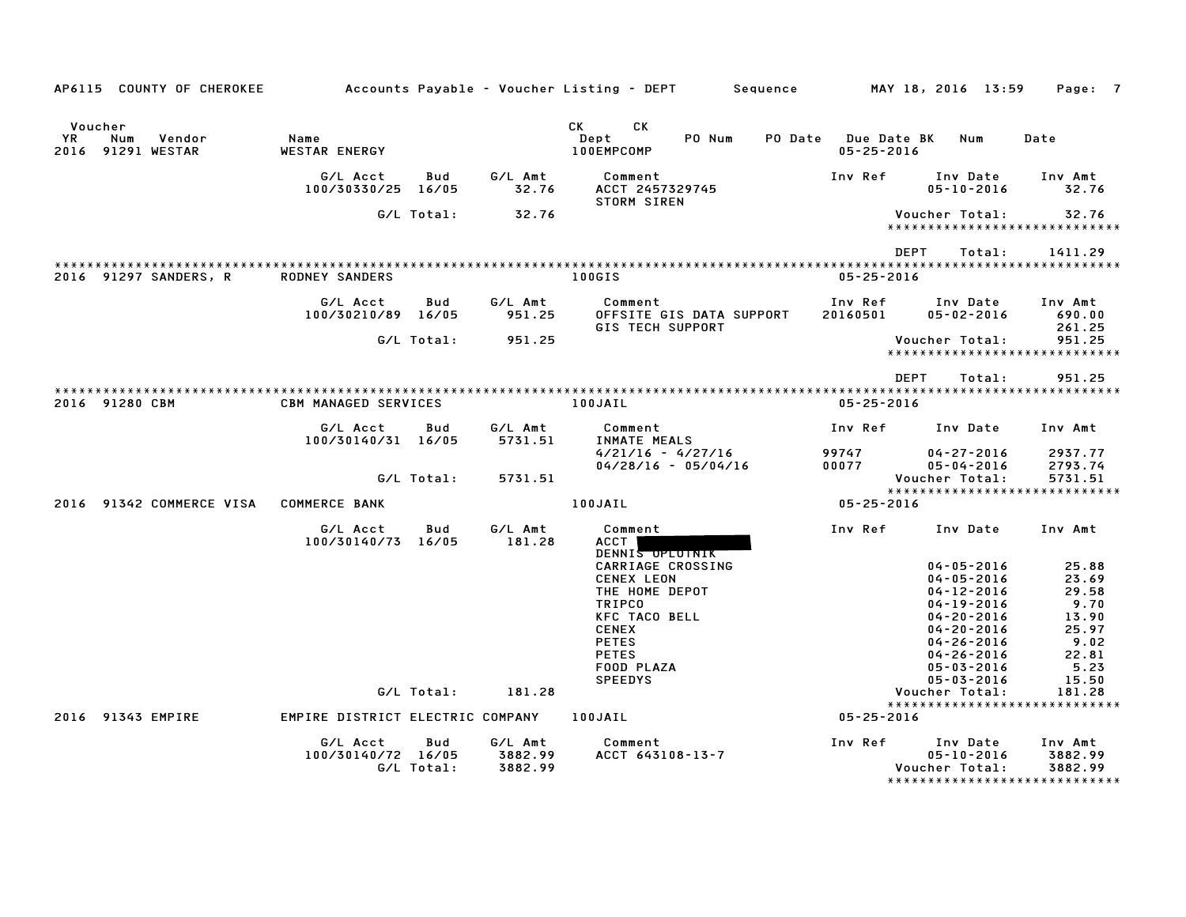| AP6115 COUNTY OF CHEROKEE                           |                                  |            |                    | Accounts Payable – Voucher Listing – DEPT         Sequence     |                                         | MAY 18, 2016 13:59                                     | Page: 7                                 |
|-----------------------------------------------------|----------------------------------|------------|--------------------|----------------------------------------------------------------|-----------------------------------------|--------------------------------------------------------|-----------------------------------------|
| Voucher<br>YR<br>Num<br>Vendor<br>2016 91291 WESTAR | Name<br>WESTAR ENERGY            |            |                    | <b>CK</b><br><b>CK</b><br>PO Num<br>Dept<br>100EMPCOMP         | PO Date Due Date BK<br>$05 - 25 - 2016$ | Num                                                    | Date                                    |
|                                                     | G/L Acct<br>100/30330/25 16/05   | Bud        | G/L Amt<br>32.76   | Comment<br>ACCT 2457329745                                     | Inv Ref                                 | Inv Date<br>$05 - 10 - 2016$                           | Inv Amt<br>32.76                        |
|                                                     |                                  | G/L Total: | 32.76              | <b>STORM SIREN</b>                                             |                                         | Voucher Total:                                         | 32.76<br>****************************** |
|                                                     |                                  |            |                    |                                                                | <b>DEPT</b>                             | Total:                                                 | 1411.29                                 |
| 2016 91297 SANDERS, R                               | <b>RODNEY SANDERS</b>            |            |                    | 100GIS                                                         | $05 - 25 - 2016$                        |                                                        |                                         |
|                                                     | G/L Acct<br>100/30210/89 16/05   | Bud        | G/L Amt<br>951.25  | Comment<br>OFFSITE GIS DATA SUPPORT<br><b>GIS TECH SUPPORT</b> | Inv Ref<br>20160501                     | Inv Date<br>$05 - 02 - 2016$                           | Inv Amt<br>690.00<br>261.25             |
|                                                     |                                  | G/L Total: | 951.25             |                                                                |                                         | Voucher Total:                                         | 951.25<br>***************************** |
|                                                     |                                  |            |                    |                                                                | <b>DEPT</b>                             | Total:                                                 | 951.25                                  |
| 2016 91280 CBM                                      | <b>CBM MANAGED SERVICES</b>      |            |                    | 100JAIL                                                        | $05 - 25 - 2016$                        |                                                        |                                         |
|                                                     | G/L Acct<br>100/30140/31 16/05   | Bud        | G/L Amt<br>5731.51 | Comment<br>INMATE MEALS                                        | Inv Ref                                 | Inv Date                                               | Inv Amt                                 |
|                                                     |                                  | G/L Total: | 5731.51            | $4/21/16 - 4/27/16$<br>$04/28/16 - 05/04/16$                   | 99747<br>00077                          | $04 - 27 - 2016$<br>$05 - 04 - 2016$<br>Voucher Total: | 2937.77<br>2793.74<br>5731.51           |
|                                                     |                                  |            |                    |                                                                |                                         |                                                        | *****************************           |
| 2016 91342 COMMERCE VISA                            | <b>COMMERCE BANK</b>             |            |                    | 100JAIL                                                        | 05-25-2016                              |                                                        |                                         |
|                                                     | G/L Acct<br>100/30140/73 16/05   | Bud        | G/L Amt<br>181.28  | Comment<br>ACCT<br>DENNIS OPLOTNIK                             | Inv Ref                                 | Inv Date                                               | Inv Amt                                 |
|                                                     |                                  |            |                    | CARRIAGE CROSSING                                              |                                         | $04 - 05 - 2016$                                       | 25.88                                   |
|                                                     |                                  |            |                    | <b>CENEX LEON</b><br>THE HOME DEPOT                            |                                         | $04 - 05 - 2016$<br>$04 - 12 - 2016$                   | 23.69<br>29.58                          |
|                                                     |                                  |            |                    | <b>TRIPCO</b>                                                  |                                         | $04 - 19 - 2016$                                       | 9.70                                    |
|                                                     |                                  |            |                    | <b>KFC TACO BELL</b>                                           |                                         | $04 - 20 - 2016$                                       | 13.90                                   |
|                                                     |                                  |            |                    | <b>CENEX</b>                                                   |                                         | $04 - 20 - 2016$                                       | 25.97                                   |
|                                                     |                                  |            |                    | <b>PETES</b>                                                   |                                         | $04 - 26 - 2016$                                       | 9.02                                    |
|                                                     |                                  |            |                    | <b>PETES</b><br>FOOD PLAZA                                     |                                         | $04 - 26 - 2016$<br>$05 - 03 - 2016$                   | 22.81<br>5.23                           |
|                                                     |                                  |            |                    | <b>SPEEDYS</b>                                                 |                                         | $05 - 03 - 2016$                                       | 15.50                                   |
|                                                     |                                  | G/L Total: | 181.28             |                                                                |                                         | Voucher Total:                                         | 181.28                                  |
|                                                     |                                  |            |                    |                                                                |                                         |                                                        | *****************************           |
| 2016 91343 EMPIRE                                   | EMPIRE DISTRICT ELECTRIC COMPANY |            |                    | 100JAIL                                                        | $05 - 25 - 2016$                        |                                                        |                                         |
|                                                     | G/L Acct<br>100/30140/72 16/05   | Bud        | G/L Amt<br>3882.99 | Comment<br>ACCT 643108-13-7                                    | Inv Ref                                 | Inv Date<br>$05 - 10 - 2016$                           | Inv Amt<br>3882.99                      |
|                                                     |                                  | G/L Total: | 3882.99            |                                                                |                                         | Voucher Total:<br>*****************************        | 3882.99                                 |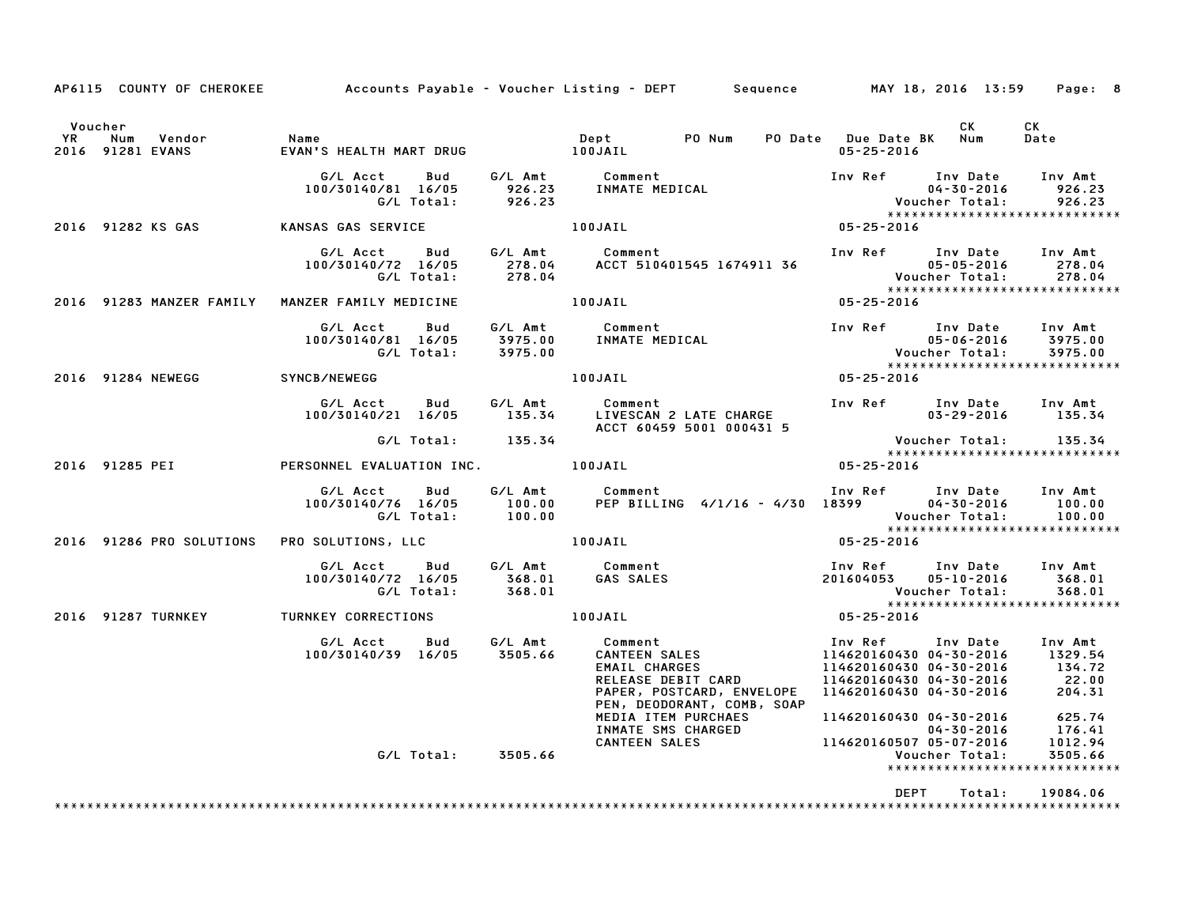|                      |                                      |                                                                                |         | AP6115 COUNTY OF CHEROKEE Accounts Payable - Voucher Listing - DEPT Sequence MAY 18, 2016 13:59 Page: 8                                                                                                                                 |                                                                                                                           |                   |
|----------------------|--------------------------------------|--------------------------------------------------------------------------------|---------|-----------------------------------------------------------------------------------------------------------------------------------------------------------------------------------------------------------------------------------------|---------------------------------------------------------------------------------------------------------------------------|-------------------|
| Voucher<br><b>YR</b> | Num Vendor<br>2016 91281 EVANS       | Name                                                                           |         |                                                                                                                                                                                                                                         | CK .<br>PO Date Due Date BK Num<br>05-25-2016                                                                             | <b>CK</b><br>Date |
|                      |                                      |                                                                                |         |                                                                                                                                                                                                                                         |                                                                                                                           |                   |
|                      | 2016 91282 KS GAS KANSAS GAS SERVICE |                                                                                | 100JAIL | $05 - 25 - 2016$                                                                                                                                                                                                                        |                                                                                                                           |                   |
|                      |                                      |                                                                                |         | G/L Acct Bud G/L Amt Comment Inv Ref Inv Date Inv Amt<br>100/30140/72 16/05 278.04 ACCT 510401545 1674911 36 05-05-2016 278.04<br>G/L Total: 278.04 ACCT 510401545 1674911 36 Voucher Total: 278.04<br>******************************** |                                                                                                                           |                   |
|                      |                                      |                                                                                |         | $05 - 25 - 2016$                                                                                                                                                                                                                        |                                                                                                                           |                   |
|                      |                                      |                                                                                |         | G/L Acct Bud G/L Amt Comment Inv Ref Inv Date Inv Amt<br>100/30140/81 16/05 3975.00 INMATE MEDICAL 100/30140/81 16/05 3975.00<br>G/L Total: 3975.00 INMATE MEDICAL 1 19975.00 Voucher Total: 3975.00<br>******************************* |                                                                                                                           |                   |
|                      | 2016 91284 NEWEGG SYNCB/NEWEGG       |                                                                                |         |                                                                                                                                                                                                                                         |                                                                                                                           |                   |
|                      |                                      |                                                                                |         | 6/L Acct Bud G/L Amt Comment Inv Ref Inv Date Inv Amt<br>100/30140/21 16/05 135.34 LIVESCAN 2 LATE CHARGE 03-29-2016 135.34<br>6/L Total: 135.34 ACCT 60459 5001 000431 5<br>RSONNEL EVALUATION INC. 100JAIL 05-25-2016 135.34          |                                                                                                                           |                   |
|                      |                                      |                                                                                |         |                                                                                                                                                                                                                                         | Voucher Total: 135.34<br>***************************<br>*****************************                                     |                   |
|                      |                                      | 2016 91285 PEI PERSONNEL EVALUATION INC. 100JAIL                               |         |                                                                                                                                                                                                                                         |                                                                                                                           |                   |
|                      |                                      |                                                                                |         | G/L Acct Bud G/L Amt Comment Inv Ref Inv Date Inv Amt<br>100/30140/76 16/05 100.00 PEP BILLING 4/1/16 – 4/30 18399 04–30–2016 100.00<br>100.00 G/L Total: 100.00                                                                        | Voucher Total: 100.00<br>*****************************                                                                    |                   |
|                      |                                      | 2016 91286 PRO SOLUTIONS PRO SOLUTIONS, LLC 60 100JAIL                         |         |                                                                                                                                                                                                                                         | $05 - 25 - 2016$                                                                                                          |                   |
|                      |                                      | G/L Acct Bud G/L Amt Comment<br>100/30140/72 16/05 368.01<br>G/L Total: 368.01 |         | Comment<br>GAS SALES                                                                                                                                                                                                                    | Inv Ref      Inv Date     Inv Amt<br>201604053 05-10-2016<br>Voucher Total:        368.01<br>**************************** | 368.01            |
|                      |                                      | 2016 91287 TURNKEY TURNKEY CORRECTIONS                                         |         | $\begin{array}{c}\n 100 \text{JAIL} \\  \end{array}$                                                                                                                                                                                    | $05 - 25 - 2016$                                                                                                          |                   |
|                      |                                      |                                                                                |         | PAPER, POSTCARD, ENVELOPE<br>PEN, DEODORANT, COMB, SOAP                                                                                                                                                                                 | 114620160430 04-30-2016 134.72<br>114620160430 04-30-2016 22.00<br>114620160430 04-30-2016 204.31                         |                   |
|                      |                                      | G/L Total: 3505.66                                                             |         | TEN TEN PURCHAES<br>IL4620160430 04-30-2016 625.74<br>INMATE SMS CHARGED 114620160507 05-07-2016 1012.94<br>CANTEEN SALES 114620160507 05-07-2016 1012.94                                                                               | Voucher Total:<br>*****************************                                                                           | 3505.66           |
|                      |                                      |                                                                                |         |                                                                                                                                                                                                                                         | DEPT<br>Total:                                                                                                            | 19084.06          |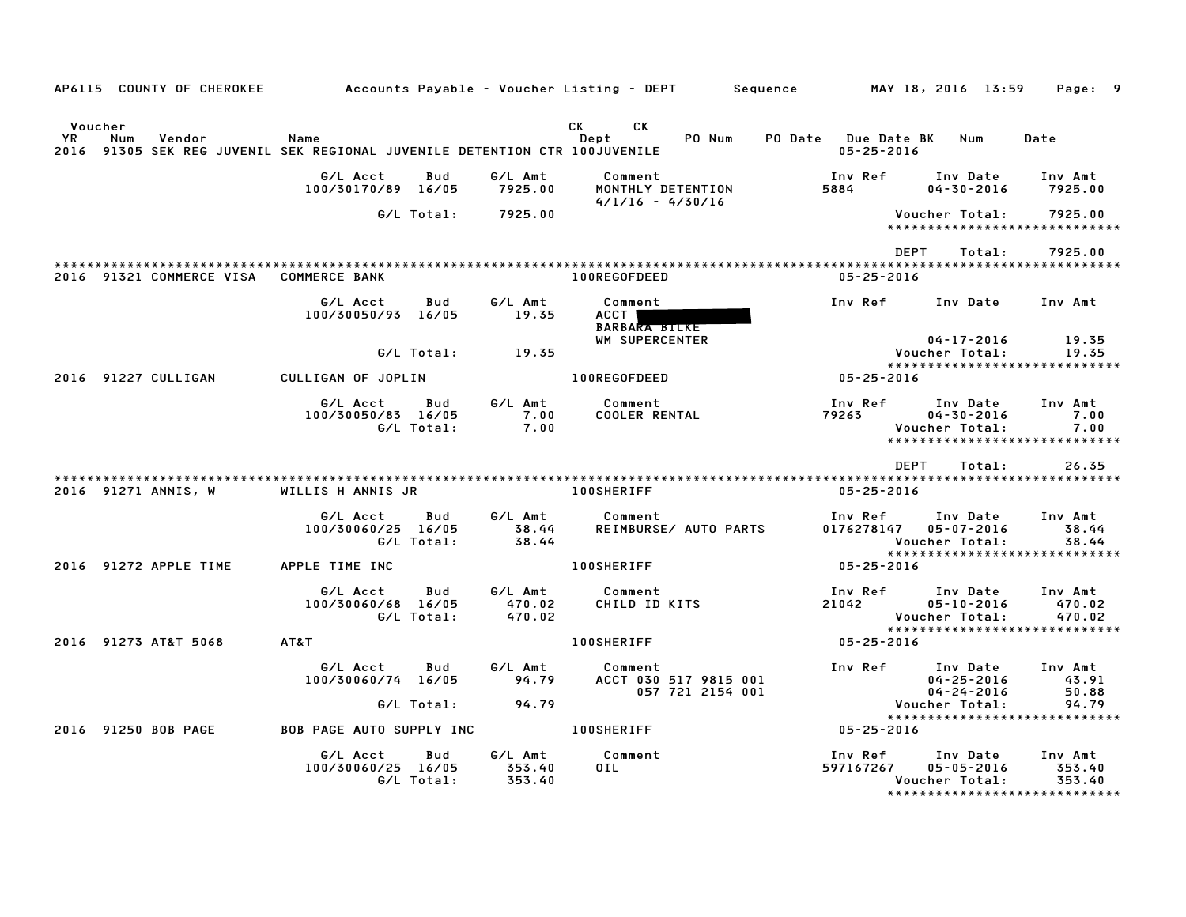| AP6115 COUNTY OF CHEROKEE              |                                                                               |                             | Accounts Payable – Voucher Listing – DEPT         Sequence |                                         | MAY 18, 2016 13:59                                                              | Page: 9                                                        |
|----------------------------------------|-------------------------------------------------------------------------------|-----------------------------|------------------------------------------------------------|-----------------------------------------|---------------------------------------------------------------------------------|----------------------------------------------------------------|
| Voucher<br>YR<br>Num<br>Vendor<br>2016 | Name<br>91305 SEK REG JUVENIL SEK REGIONAL JUVENILE DETENTION CTR 100JUVENILE |                             | CK<br>CK<br>PO Num<br>Dept                                 | PO Date Due Date BK<br>$05 - 25 - 2016$ | Num                                                                             | Date                                                           |
|                                        | G/L Acct<br>Bud<br>100/30170/89 16/05                                         | G/L Amt<br>7925.00          | Comment<br>MONTHLY DETENTION                               | Inv Ref<br>5884                         | Inv Date<br>$04 - 30 - 2016$                                                    | Inv Amt<br>7925.00                                             |
|                                        | G/L Total:                                                                    | 7925.00                     | $4/1/16 - 4/30/16$                                         |                                         | Voucher Total:                                                                  | 7925.00                                                        |
|                                        |                                                                               |                             |                                                            | <b>DEPT</b>                             | *****************************<br>Total:                                         | 7925.00                                                        |
| 2016 91321 COMMERCE VISA               | <b>COMMERCE BANK</b>                                                          |                             | 100REGOFDEED                                               | $05 - 25 - 2016$                        |                                                                                 |                                                                |
|                                        | G/L Acct<br>Bud<br>100/30050/93 16/05                                         | G/L Amt<br>19.35            | Comment<br>ACCT  <br><b>BARBARA BILKE</b>                  | Inv Ref                                 | Inv Date                                                                        | Inv Amt                                                        |
|                                        | G/L Total:                                                                    | 19.35                       | WM SUPERCENTER                                             |                                         | $04 - 17 - 2016$<br>Voucher Total:                                              | 19.35<br>19.35                                                 |
| 2016 91227 CULLIGAN                    | CULLIGAN OF JOPLIN                                                            |                             | 100REGOFDEED                                               | $05 - 25 - 2016$                        | *****************************                                                   |                                                                |
|                                        | G/L Acct<br>Bud<br>100/30050/83 16/05<br>G/L Total:                           | G/L Amt<br>7.00<br>7.00     | Comment<br><b>COOLER RENTAL</b>                            | Inv Ref<br>79263                        | Inv Date<br>$04 - 30 - 2016$<br>Voucher Total:<br>***************************** | Inv Amt<br>7.00<br>7.00                                        |
|                                        |                                                                               |                             |                                                            | <b>DEPT</b>                             | Total:                                                                          | 26.35                                                          |
| 2016 91271 ANNIS, W                    | WILLIS H ANNIS JR                                                             |                             | <b>100SHERIFF</b>                                          | $05 - 25 - 2016$                        |                                                                                 |                                                                |
|                                        | G/L Acct<br>Bud<br>100/30060/25 16/05<br>G/L Total:                           | G/L Amt<br>38.44<br>38.44   | Comment<br>REIMBURSE/ AUTO PARTS                           | Inv Ref<br>0176278147                   | Inv Date<br>05-07-2016<br>Voucher Total:                                        | Inv Amt<br>38.44<br>38.44                                      |
| 2016 91272 APPLE TIME                  | APPLE TIME INC                                                                |                             | <b>100SHERIFF</b>                                          | $05 - 25 - 2016$                        | *****************************                                                   |                                                                |
|                                        | G/L Acct<br>Bud<br>100/30060/68 16/05<br>G/L Total:                           | G/L Amt<br>470.02<br>470.02 | Comment<br>CHILD ID KITS                                   | Inv Ref<br>21042                        | Inv Date<br>$05 - 10 - 2016$<br>Voucher Total:                                  | Inv Amt<br>470.02<br>470.02                                    |
| 2016 91273 AT&T 5068                   | AT&T                                                                          |                             | <b>100SHERIFF</b>                                          | $05 - 25 - 2016$                        | *****************************                                                   |                                                                |
|                                        | G/L Acct<br>Bud<br>100/30060/74 16/05                                         | G/L Amt<br>94.79            | Comment<br>ACCT 030 517 9815 001<br>057 721 2154 001       | Inv Ref                                 | Inv Date<br>$04 - 25 - 2016$<br>$04 - 24 - 2016$                                | Inv Amt<br>43.91<br>50.88                                      |
|                                        | G/L Total:                                                                    | 94.79                       |                                                            |                                         | Voucher Total:<br>*****************************                                 | 94.79                                                          |
| 2016 91250 BOB PAGE                    | <b>BOB PAGE AUTO SUPPLY INC</b>                                               |                             | <b>100SHERIFF</b>                                          | 05-25-2016                              |                                                                                 |                                                                |
|                                        | G/L Acct<br>Bud<br>100/30060/25 16/05<br>G/L Total:                           | G/L Amt<br>353.40<br>353.40 | Comment<br>OIL                                             | Inv Ref<br>597167267                    | Inv Date<br>$05 - 05 - 2016$<br>Voucher Total:                                  | Inv Amt<br>353.40<br>353.40<br>******************************* |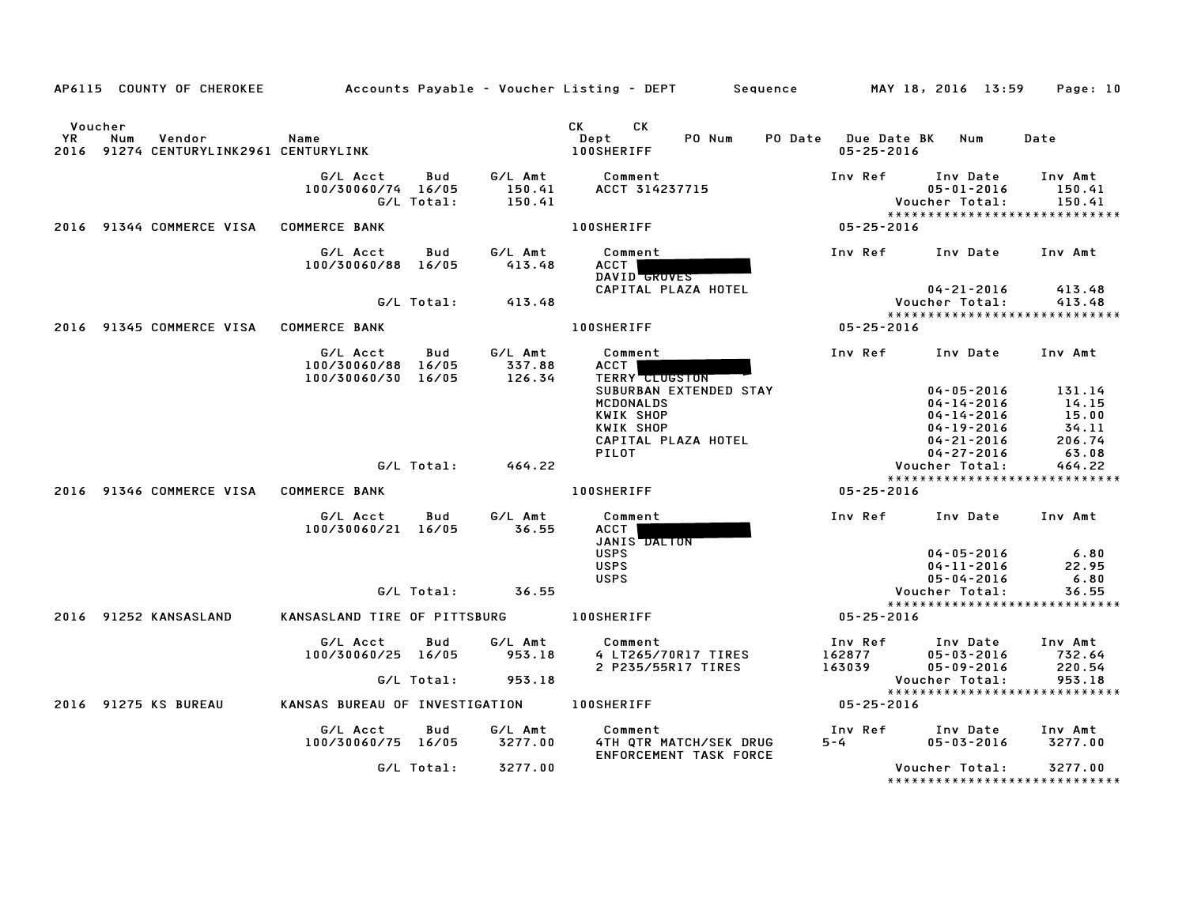|               | AP6115 COUNTY OF CHEROKEE                               |                                                      |                   |                             | Accounts Payable – Voucher Listing – DEPT       Sequence         MAY 18, 2016 13:59                  |                                         |                                                                                 | Page: 10                                    |
|---------------|---------------------------------------------------------|------------------------------------------------------|-------------------|-----------------------------|------------------------------------------------------------------------------------------------------|-----------------------------------------|---------------------------------------------------------------------------------|---------------------------------------------|
| Voucher<br>YR | Num<br>Vendor<br>2016 91274 CENTURYLINK2961 CENTURYLINK | Name                                                 |                   |                             | CK C<br><b>CK</b><br>PO Num<br>Dept<br><b>100SHERIFF</b>                                             | PO Date Due Date BK<br>$05 - 25 - 2016$ | Num                                                                             | Date                                        |
|               |                                                         | G/L Acct<br>100/30060/74 16/05                       | Bud<br>G/L Total: | G/L Amt<br>150.41<br>150.41 | Comment<br>ACCT 314237715                                                                            | Inv Ref                                 | Inv Date<br>$05 - 01 - 2016$<br>Voucher Total:<br>***************************** | Inv Amt<br>150.41<br>150.41                 |
|               | 2016 91344 COMMERCE VISA                                | <b>COMMERCE BANK</b>                                 |                   |                             | 100SHERIFF                                                                                           | $05 - 25 - 2016$                        |                                                                                 |                                             |
|               |                                                         | G/L Acct<br>100/30060/88 16/05                       | Bud               | G/L Amt<br>413.48           | Comment<br>ACCT  <br>DAVID GROVES                                                                    |                                         | Inv Ref Inv Date                                                                | Inv Amt                                     |
|               |                                                         |                                                      | G/L Total:        | 413.48                      | CAPITAL PLAZA HOTEL                                                                                  |                                         | $04 - 21 - 2016$<br>Voucher Total:<br>*****************************             | 413.48<br>413.48                            |
|               | 2016 91345 COMMERCE VISA                                | <b>COMMERCE BANK</b>                                 |                   |                             | <b>100SHERIFF</b>                                                                                    | 05-25-2016                              |                                                                                 |                                             |
|               |                                                         | G/L Acct<br>100/30060/88 16/05<br>100/30060/30 16/05 | Bud               | G/L Amt<br>337.88<br>126.34 | Comment<br>ACCT  <br>TERRY CLUGSTON                                                                  | Inv Ref                                 | Inv Date                                                                        | Inv Amt                                     |
|               |                                                         |                                                      |                   |                             | SUBURBAN EXTENDED STAY<br>MCDONALDS<br>KWIK SHOP<br>KWIK SHOP<br>CAPITAL PLAZA HOTEL<br><b>PILOT</b> |                                         | $04 - 05 - 2016$<br>04-14-2016<br>04-14-2016<br>$04 - 19 - 2016$<br>04-21-2016  | 131.14<br>14.15<br>15.00<br>34.11<br>206.74 |
|               |                                                         |                                                      |                   | $G/L$ Total: $464.22$       |                                                                                                      |                                         | $04 - 27 - 2016$<br>Voucher Total:                                              | 63.08<br>464.22                             |
|               | 2016 91346 COMMERCE VISA                                | <b>COMMERCE BANK</b>                                 |                   |                             | <b>100SHERIFF</b>                                                                                    | $05 - 25 - 2016$                        | *****************************                                                   |                                             |
|               |                                                         | G/L Acct<br>100/30060/21 16/05                       | Bud               | G/L Amt<br>36.55            | Comment<br>ACCT  <br>JANIS DALTON                                                                    |                                         | Inv Ref Inv Date Inv Amt                                                        |                                             |
|               |                                                         |                                                      |                   | $G/L$ Total: $36.55$        | <b>USPS</b><br><b>USPS</b><br><b>USPS</b>                                                            |                                         | $04 - 05 - 2016$<br>04-11-2016<br>$05 - 04 - 2016$<br>Voucher Total:            | 6.80<br>22.95<br>6.80<br>36.55              |
|               |                                                         |                                                      |                   |                             |                                                                                                      |                                         | *****************************                                                   |                                             |
|               | 2016 91252 KANSASLAND                                   | KANSASLAND TIRE OF PITTSBURG                         |                   |                             | <b>100SHERIFF</b>                                                                                    | $05 - 25 - 2016$                        |                                                                                 |                                             |
|               |                                                         | G/L Acct<br>100/30060/25 16/05                       | Bud<br>G/L Total: | G/L Amt<br>953.18<br>953.18 | Comment<br>4 LT265/70R17 TIRES<br>2 P235/55R17 TIRES                                                 | Inv Ref<br>162877<br>163039<br>163039   | Inv Date<br>$05 - 03 - 2016$<br>$05 - 09 - 2016$<br>Voucher Total:              | Inv Amt<br>732.64<br>220.54<br>953.18       |
|               |                                                         |                                                      |                   |                             |                                                                                                      |                                         | *****************************                                                   |                                             |
|               | 2016 91275 KS BUREAU                                    | KANSAS BUREAU OF INVESTIGATION 100SHERIFF            |                   |                             |                                                                                                      | 05-25-2016                              |                                                                                 |                                             |
|               |                                                         | G/L Acct<br>100/30060/75 16/05                       | Bud               | G/L Amt<br>3277.00          | Comment<br>4TH QTR MATCH/SEK DRUG<br>ENFORCEMENT TASK FORCE                                          | Inv Ref<br>$5 - 4$                      | Inv Date<br>$05 - 03 - 2016$                                                    | Inv Amt<br>3277.00                          |
|               |                                                         |                                                      | G/L Total:        | 3277.00                     |                                                                                                      |                                         | Voucher Total:                                                                  | 3277.00                                     |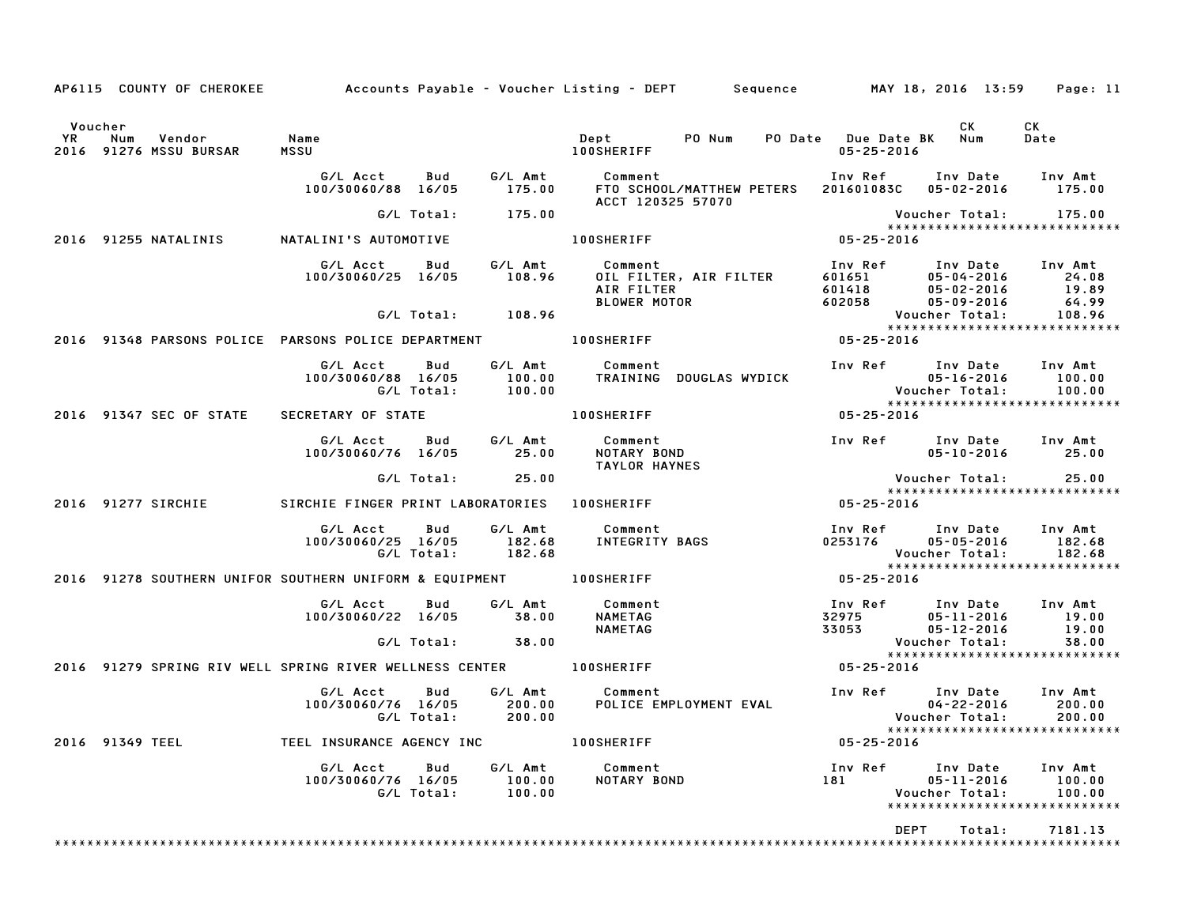|         |                                                                     |                                                                                                  |                   | AP6115 COUNTY OF CHEROKEE Accounts Payable - Voucher Listing - DEPT Sequence MAY 18, 2016 13:59 Page: 11                                                                                                                                   |                                                                                                                                                                  |                       |                                                              |
|---------|---------------------------------------------------------------------|--------------------------------------------------------------------------------------------------|-------------------|--------------------------------------------------------------------------------------------------------------------------------------------------------------------------------------------------------------------------------------------|------------------------------------------------------------------------------------------------------------------------------------------------------------------|-----------------------|--------------------------------------------------------------|
| Voucher | YR Num Vendor - Name<br>2016 91276 MSSU-BURSAR - MSSU               | <b>MSSU</b>                                                                                      |                   |                                                                                                                                                                                                                                            |                                                                                                                                                                  | CK <sub>2</sub>       | CK                                                           |
|         |                                                                     |                                                                                                  |                   | G/L Acct      Bud      G/L Amt        Comment                           Inv Ref      Inv Date     Inv Amt<br>100/30060/88  16/05       175.00      FTO SCHOOL/MATTHEW PETERS   201601083C   05–02–2016       175.00<br>ACCT 120325 57070   |                                                                                                                                                                  |                       |                                                              |
|         |                                                                     |                                                                                                  | G/L Total: 175.00 |                                                                                                                                                                                                                                            |                                                                                                                                                                  | Voucher Total: 175.00 |                                                              |
|         | 2016 91255 NATALINIS NATALINI'S AUTOMOTIVE                          |                                                                                                  |                   | 100SHERIFF                                                                                                                                                                                                                                 | * * * * *<br>16 - 25 - 05 - 05                                                                                                                                   |                       |                                                              |
|         |                                                                     |                                                                                                  |                   | 6/L Acct Bud G/L Amt Comment Inv Ref Inv Date Inv Amt<br>100/30060/25 16/05 108.96 OIL FILTER, AIR FILTER 601651 05-04-2016 24.08<br>AIR FILTER 601418 05-04-2016 19.89<br>BLOWER MOTOR 602058 05-09-2016 64.99<br>G/L Total: 108.96 BLOWE |                                                                                                                                                                  |                       |                                                              |
|         |                                                                     |                                                                                                  |                   |                                                                                                                                                                                                                                            | Vouc<br>* * * * *<br>2016 - 25 - 05                                                                                                                              |                       | ******************************                               |
|         |                                                                     |                                                                                                  |                   | 2016 91348 PARSONS POLICE PARSONS POLICE DEPARTMENT   100SHERIFF                                                                                                                                                                           |                                                                                                                                                                  |                       |                                                              |
|         |                                                                     |                                                                                                  |                   |                                                                                                                                                                                                                                            |                                                                                                                                                                  |                       | Inv Amt<br>100.00<br>100.00<br>***************************** |
|         | 2016 91347 SEC OF STATE SECRETARY OF STATE                          |                                                                                                  |                   | 100SHERIFF NORTH                                                                                                                                                                                                                           | 05-25-2016                                                                                                                                                       |                       |                                                              |
|         |                                                                     |                                                                                                  |                   | G/L Acct  Bud  G/L Amt  Comment<br>100/30060/76  16/05  25.00  NOTARY  BOND<br><b>TAYLOR HAYNES</b>                                                                                                                                        |                                                                                                                                                                  |                       |                                                              |
|         |                                                                     |                                                                                                  | G/L Total: 25.00  |                                                                                                                                                                                                                                            |                                                                                                                                                                  | Voucher Total: 25.00  | *****************************                                |
|         | 2016 91277 SIRCHIE SIRCHIE FINGER PRINT LABORATORIES 100SHERIFF     |                                                                                                  |                   |                                                                                                                                                                                                                                            | $84$<br>$84$<br>$84$<br>$84$<br>$84$<br>$84$<br>$84$<br>$85$<br><br>$86$<br><br>$86$<br><br><br>igna<br><br>igna<br><br>igna<br><br>igna<br><br>igna<br><br>igna |                       |                                                              |
|         |                                                                     |                                                                                                  |                   |                                                                                                                                                                                                                                            |                                                                                                                                                                  |                       | 182.68<br>182.68<br>******************************           |
|         | 2016 91278 SOUTHERN UNIFOR SOUTHERN UNIFORM & EQUIPMENT 100SHERIFF  |                                                                                                  |                   |                                                                                                                                                                                                                                            | $05 - 25 - 2016$                                                                                                                                                 |                       |                                                              |
|         |                                                                     | G/L Acct Bud G/L Amt Comment<br>100/30060/22 16/05 38.00 NAMETAG                                 |                   | 100 Ref 100 Date 100 Amt<br>32975 05-11-2016 19.00<br>33053 05-12-2016 19.00<br><b>NAMETAG</b>                                                                                                                                             |                                                                                                                                                                  |                       |                                                              |
|         |                                                                     |                                                                                                  | G/L Total: 38.00  |                                                                                                                                                                                                                                            |                                                                                                                                                                  | Voucher Total:        | 38.00                                                        |
|         | 2016 91279 SPRING RIV WELL SPRING RIVER WELLNESS CENTER THOOSHERIFF |                                                                                                  |                   |                                                                                                                                                                                                                                            | $05 - 25 - 2016$                                                                                                                                                 |                       |                                                              |
|         |                                                                     | G/L Acct  Bud  G/L Amt  Comment<br>100/30060/76  16/05  200.00  POLICE  EN<br>G/L Total:  200.00 |                   |                                                                                                                                                                                                                                            |                                                                                                                                                                  |                       | Inv Amt<br>200.00<br>200.00                                  |
|         | 2016 91349 TEEL TEEL INSURANCE AGENCY INC TO DOSHERIFF              |                                                                                                  |                   |                                                                                                                                                                                                                                            | 05-25-2016                                                                                                                                                       |                       |                                                              |
|         |                                                                     |                                                                                                  |                   |                                                                                                                                                                                                                                            |                                                                                                                                                                  |                       | 100.00<br>100.00<br>*****************************            |
|         |                                                                     |                                                                                                  |                   |                                                                                                                                                                                                                                            | <b>DEPT</b>                                                                                                                                                      | Total:                | 7181.13                                                      |
|         |                                                                     |                                                                                                  |                   |                                                                                                                                                                                                                                            |                                                                                                                                                                  |                       |                                                              |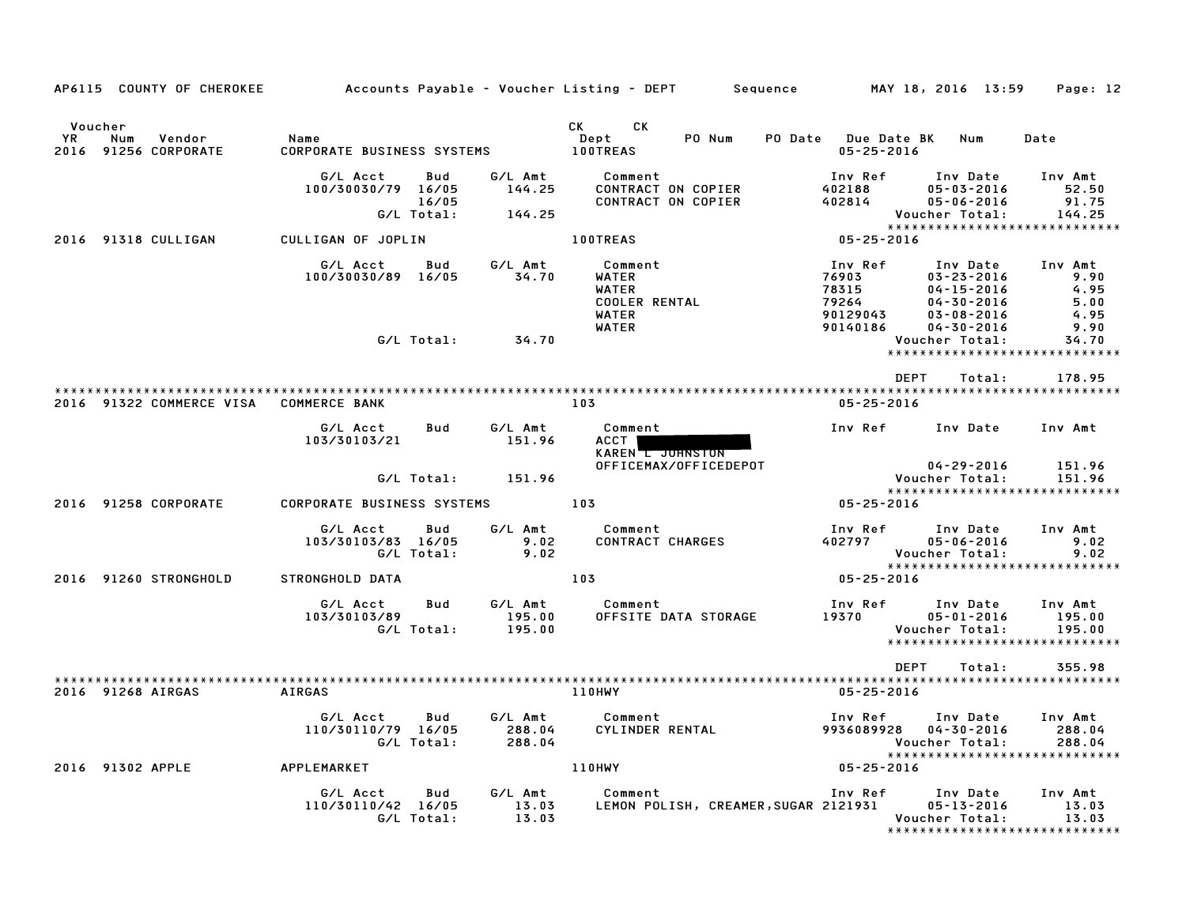| AP6115 COUNTY OF CHEROKEE                                        |                                                              |                                    | Accounts Payable – Voucher Listing – DEPT       Sequence         MAY 18, 2016  13:59 |                                                            |                                                                                                              | Page: 12                                                      |
|------------------------------------------------------------------|--------------------------------------------------------------|------------------------------------|--------------------------------------------------------------------------------------|------------------------------------------------------------|--------------------------------------------------------------------------------------------------------------|---------------------------------------------------------------|
| Voucher<br><b>YR</b><br>Num<br>Vendor<br>2016<br>91256 CORPORATE | Name<br>CORPORATE BUSINESS SYSTEMS                           |                                    | CK <sub>2</sub><br>CK.<br>PO Num<br>Dept<br><b>100TREAS</b>                          | PO Date Due Date BK<br>$05 - 25 - 2016$                    | Num                                                                                                          | Date                                                          |
|                                                                  | G/L Acct<br>Bud<br>100/30030/79 16/05<br>16/05<br>G/L Total: | G/L Amt<br>144.25<br>144.25        | Comment<br>CONTRACT ON COPIER<br>CONTRACT ON COPIER                                  | Inv Ref<br>402188<br>402814                                | Inv Date<br>$05 - 03 - 2016$<br>$05 - 06 - 2016$<br>Voucher Total:                                           | Inv Amt<br>52.50<br>91.75<br>144.25                           |
| 2016 91318 CULLIGAN                                              | CULLIGAN OF JOPLIN                                           |                                    | <b>100TREAS</b>                                                                      | $05 - 25 - 2016$                                           |                                                                                                              | *****************************                                 |
|                                                                  | G/L Acct<br>Bud<br>100/30030/89 16/05                        | G/L Amt<br>34.70                   | Comment<br>WATER<br>WATER<br>COOLER RENTAL<br>WATER<br>WATER                         | Inv Ref<br>76903<br>78315<br>79264<br>90129043<br>90140186 | Inv Date<br>$03 - 23 - 2016$<br>$04 - 15 - 2016$<br>$04 - 30 - 2016$<br>$03 - 08 - 2016$<br>$04 - 30 - 2016$ | Inv Amt<br>9.90<br>4.95<br>5.00<br>4.95<br>9.90               |
|                                                                  | G/L Total:                                                   | 34.70                              |                                                                                      |                                                            | Voucher Total:                                                                                               | 34.70<br>*****************************                        |
|                                                                  |                                                              |                                    |                                                                                      | DEPT                                                       | Total:                                                                                                       | 178.95                                                        |
| 2016 91322 COMMERCE VISA COMMERCE BANK                           |                                                              |                                    | 103                                                                                  | 05-25-2016                                                 |                                                                                                              |                                                               |
|                                                                  | G/L Acct<br>Bud<br>103/30103/21                              | G/L Amt<br>151.96                  | Comment<br>ACCT  <br>KAREN L JOHNSTON                                                | Inv Ref                                                    | Inv Date                                                                                                     | Inv Amt                                                       |
|                                                                  | G/L Total:                                                   | 151.96                             | OFFICEMAX/OFFICEDEPOT                                                                |                                                            | $04 - 29 - 2016$<br>Voucher Total:                                                                           | 151.96<br>151.96<br>*****************************             |
| 2016 91258 CORPORATE                                             | <b>CORPORATE BUSINESS SYSTEMS</b>                            |                                    | 103                                                                                  | 05-25-2016                                                 |                                                                                                              |                                                               |
|                                                                  | G/L Acct<br>Bud<br>103/30103/83 16/05<br>G/L Total:          | G/L Amt<br>9.02<br>9.02            | Comment<br><b>CONTRACT CHARGES</b>                                                   | Inv Ref<br>402797                                          | Inv Date<br>$05 - 06 - 2016$<br><b>Voucher Total:</b>                                                        | Inv Amt<br>9.02<br>9.02<br>*****************************      |
| 2016 91260 STRONGHOLD                                            | STRONGHOLD DATA                                              |                                    | 103                                                                                  | 05-25-2016                                                 |                                                                                                              |                                                               |
|                                                                  | G/L Acct<br>103/30103/89<br>G/L Total:                       | G/L Amt<br>Bud<br>195.00<br>195.00 | Comment<br>OFFSITE DATA STORAGE                                                      | Inv Ref<br>19370                                           | Inv Date<br>$05 - 01 - 2016$<br>Voucher Total:                                                               | Inv Amt<br>195.00<br>195.00<br>****************************** |
|                                                                  |                                                              |                                    |                                                                                      | DEPT                                                       | Total:                                                                                                       | 355.98                                                        |
| 2016 91268 AIRGAS                                                | AIRGAS                                                       |                                    | 110HWY                                                                               | $05 - 25 - 2016$                                           |                                                                                                              |                                                               |
|                                                                  | G/L Acct<br>Bud<br>110/30110/79 16/05<br>G/L Total:          | G/L Amt<br>288.04<br>288.04        | Comment<br>CYLINDER RENTAL                                                           | Inv Ref<br>9936089928                                      | Inv Date<br>$04 - 30 - 2016$<br>Voucher Total:                                                               | Inv Amt<br>288.04<br>288.04                                   |
| 2016 91302 APPLE                                                 | APPLEMARKET                                                  |                                    | <b>110HWY</b>                                                                        | 05-25-2016                                                 |                                                                                                              | *****************************                                 |
|                                                                  | G/L Acct<br>Bud<br>110/30110/42 16/05<br>G/L Total:          | G/L Amt<br>13.03<br>13.03          | Comment<br>LEMON POLISH, CREAMER, SUGAR 2121931                                      | Inv Ref Inv Date                                           | $05 - 13 - 2016$<br>Voucher Total:                                                                           | Inv Amt<br>13.03<br>13.03<br>*****************************    |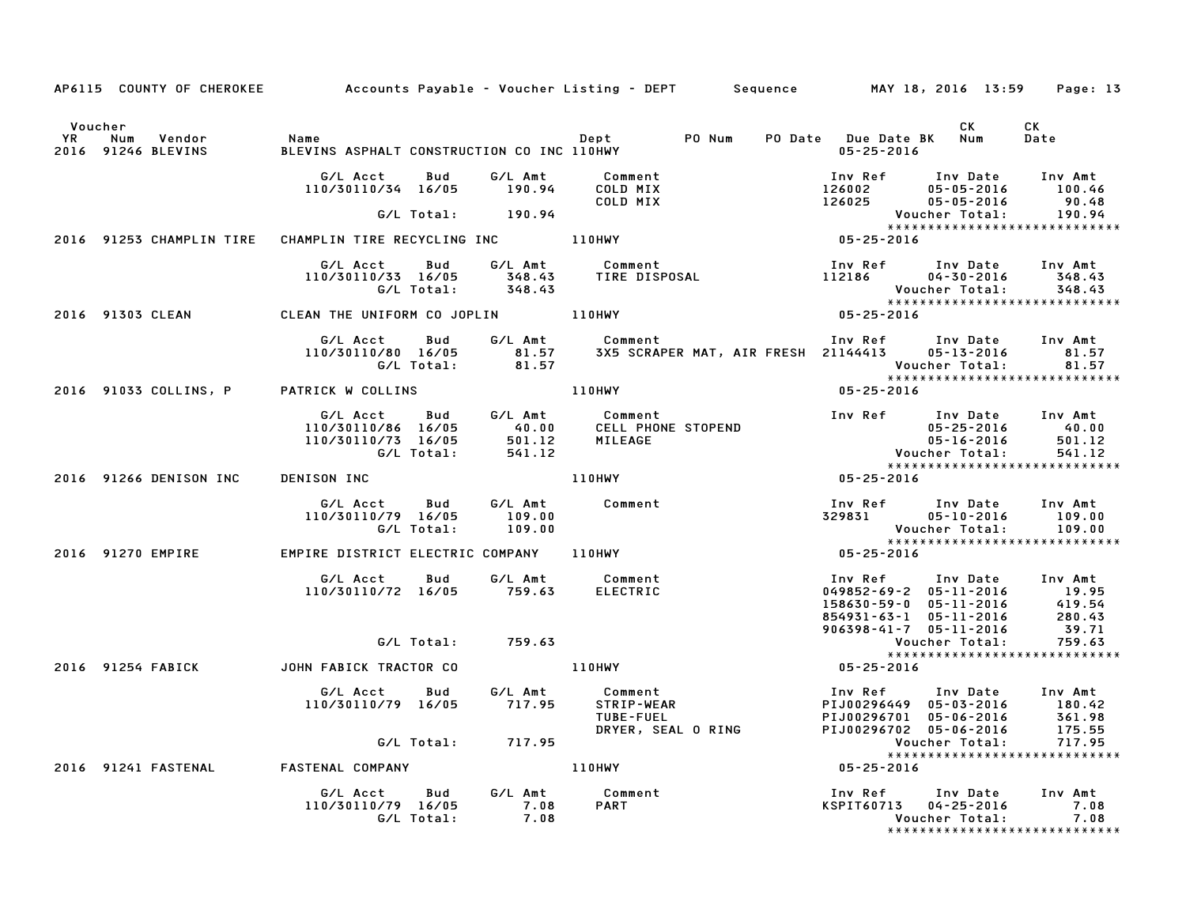|                    |                                                       | AP6115 COUNTY OF CHEROKEE Accounts Payable - Voucher Listing - DEPT Sequence MAY 18, 2016 13:59 Page: 13                                                                                                                                         |                                |              |
|--------------------|-------------------------------------------------------|--------------------------------------------------------------------------------------------------------------------------------------------------------------------------------------------------------------------------------------------------|--------------------------------|--------------|
| 2016 91246 BLEVINS |                                                       | CK<br>PO Num PO Date Due Date BK Num<br>2016 91246 BLEVINS ASPHALT CONSTRUCTION CO INC 110HWY PO Num PO Date Due Date BK Num                                                                                                                     |                                | CK<br>Date   |
|                    |                                                       | 410/30110/34 16/05 190.94 COLD MIX Inv Ref Inv Date Inv Amt<br>110/30110/34 16/05 190.94 COLD MIX 126002 05-05-2016 100.46<br>48 G/L Total: 190.94 COLD MIX 126025 05-05-2016 91.48<br>2016 91253 CHAMPLIN TIRE CHAMPLIN TIRE RECYCLING          |                                |              |
|                    |                                                       |                                                                                                                                                                                                                                                  |                                |              |
|                    |                                                       |                                                                                                                                                                                                                                                  |                                |              |
|                    |                                                       | G/L Acct Bud G/L Amt Comment Inv Ref Inv Date Inv Amt<br>110/30110/33 16/05 348.43 TIRE DISPOSAL 112186 04–30–2016 348.43<br>G/L Total: 348.43 Voucher Total: 348.43<br>EAN THE UNIFORM CO JOPLIN 110HWY 110HWY 05–25–2016 ************          |                                |              |
|                    | 2016 91303 CLEAN 6 CLEAN THE UNIFORM CO JOPLIN 110HWY |                                                                                                                                                                                                                                                  |                                |              |
|                    |                                                       | G/L Acct Bud G/L Amt Comment<br>110/30110/80 16/05 81.57 3X5 SCRAPER MAT, AIR FRESH<br>G/L Total: 81.57                                                                                                                                          |                                |              |
|                    |                                                       | *****<br>2016 25-25-2016 71053 2016 725-2016 110HWY                                                                                                                                                                                              |                                |              |
|                    |                                                       | 2016 91266 DENISON INC BEHERE DISTRICT ELECTRIC COMPANY 110HWY<br>2016 91270 EMPIRE EMPIRE STRICT ELECTRIC COMPANY 110HWY<br>2016 91270 EMPIRE PERENT COMPANY 110HWY<br>2016 91270 EMPIRE PERENT COMPANY 110HWY<br>2016 91270 EMPIRE EMPIR       |                                |              |
|                    |                                                       |                                                                                                                                                                                                                                                  |                                |              |
|                    |                                                       |                                                                                                                                                                                                                                                  |                                |              |
|                    |                                                       |                                                                                                                                                                                                                                                  |                                |              |
|                    |                                                       | 410/30110/72 16/05 759.63<br>2016 91254 FABICK JOHN FABICK JOHN FABICK RACTOR CO<br>2016 91254 FABICK JOHN FABICK TRACTOR CO<br>2016 91254 FABICK JOHN FABICK TRACTOR CO<br>2016 91254 159.63<br>2016 91254 FABICK JOHN FABICK TRACTOR CO<br>201 |                                |              |
|                    |                                                       |                                                                                                                                                                                                                                                  |                                |              |
|                    |                                                       |                                                                                                                                                                                                                                                  |                                |              |
|                    |                                                       | G/L Acct Bud G/L Amt Comment<br>110/30110/79 16/05 717.95 STRIP-WEAR PIJ00296449 05-03-2016 180.42<br>TUBE-FUEL PHOTORY PIJ00296449 05-03-2016 361.98<br>G/L Total: 717.95 DRYER, SEAL ORING PIJ00296702 05-06-2016 175.55<br>STENAL COMPA       |                                |              |
|                    |                                                       |                                                                                                                                                                                                                                                  |                                |              |
|                    | 2016 91241 FASTENAL FASTENAL COMPANY                  | 110HWY                                                                                                                                                                                                                                           |                                |              |
|                    |                                                       | G/L Acct Bud G/L Amt Comment 110/30110/79 16/05 7.08 PART 110/30110/79 16/05 7.08 PART 110/30110/79 16/05 7.08<br>G/L Total: 7.08 PART 110/30110/79 16/05 7.08                                                                                   | ****************************** | 7.08<br>7.08 |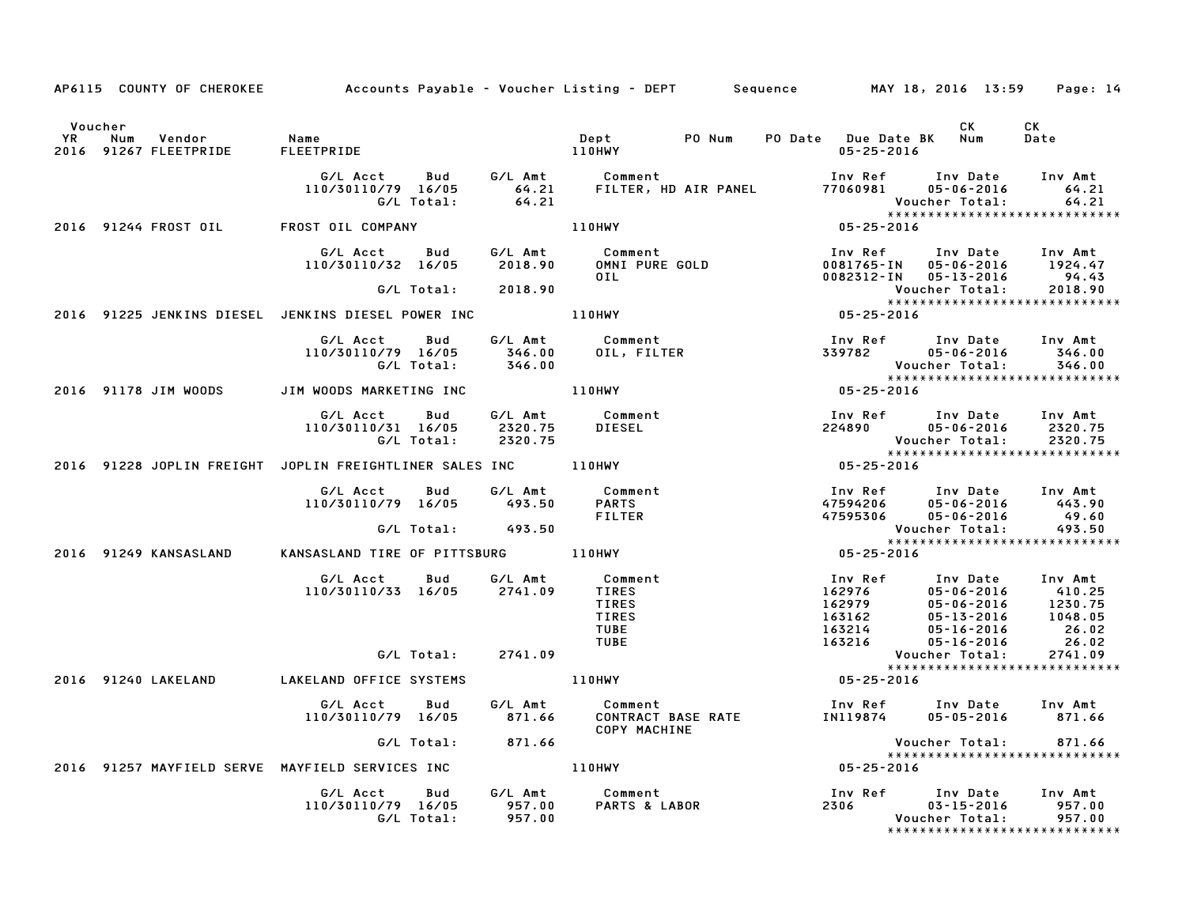|         |                       |                                                                                                                                                                                                                                      |        |                                                                                                                                                  | AP6115 COUNTY OF CHEROKEE Accounts Payable - Voucher Listing - DEPT Sequence MAY 18, 2016 13:59 Page: 14                                                                                                                                                                                                                          |                                     |
|---------|-----------------------|--------------------------------------------------------------------------------------------------------------------------------------------------------------------------------------------------------------------------------------|--------|--------------------------------------------------------------------------------------------------------------------------------------------------|-----------------------------------------------------------------------------------------------------------------------------------------------------------------------------------------------------------------------------------------------------------------------------------------------------------------------------------|-------------------------------------|
| Voucher |                       | The Mum (Manne Mame Mame ) and the Dept (Mammu ) PO Num<br>110HWY (Mammu ) PO Num FLEETPRIDE (Mammu ) PO Num (Mammu ) PO Num ) PO Num (Mammu ) PO Num ) PO Num (Mammu ) P<br>2016 91267 FLEETPRIDE (Mammu ) FLEETPRIDE (Mammu ) PO N |        |                                                                                                                                                  | CK .<br>PO Date Due Date BK Num<br>05-25-2016                                                                                                                                                                                                                                                                                     | CK<br>Date                          |
|         |                       |                                                                                                                                                                                                                                      |        | G/L Acct Bud G/L Amt Comment Inv Ref<br>110/30110/79 16/05 64.21 FILTER, HD AIR PANEL 77060981<br>G/L Total: 64.21 FILTER, HD AIR PANEL 77060981 | $05 - 06 - 2016$                                                                                                                                                                                                                                                                                                                  | Inv Date Inv Amt<br>64.21           |
|         |                       | 2016 91244 FROST OIL FROST OIL COMPANY                                                                                                                                                                                               | 110HWY |                                                                                                                                                  |                                                                                                                                                                                                                                                                                                                                   |                                     |
|         |                       |                                                                                                                                                                                                                                      |        |                                                                                                                                                  | 6/L Acct Bud G/L Amt Comment Inv Ref Inv Date Inv Amt<br>110/30110/32 16/05 2018.90 OMNI PURE GOLD 0081765-IN 05-06-2016 1924.47<br>6/L Total: 2018.90 OIL 0082312-IN 05-13-2016 94.43<br>2016 91225 JENKINS DIESEL JENKINS DIESEL POWE                                                                                           |                                     |
|         |                       |                                                                                                                                                                                                                                      |        |                                                                                                                                                  | *****************************                                                                                                                                                                                                                                                                                                     |                                     |
|         |                       |                                                                                                                                                                                                                                      |        |                                                                                                                                                  |                                                                                                                                                                                                                                                                                                                                   |                                     |
|         |                       |                                                                                                                                                                                                                                      |        |                                                                                                                                                  | G/L Acct Bud G/L Amt Comment 110/30110/79 16/05 346.00<br>110/30110/79 16/05 346.00 0IL, FILTER 339782 05-06-2016 346.00<br>146.00 07.1 346.00 Voucher Total: 346.00<br>Voucher Total: 346.00<br>**********************************                                                                                               |                                     |
|         |                       | 2016 91178 JIM WOODS JIM WOODS MARKETING INC 110HWY                                                                                                                                                                                  |        |                                                                                                                                                  |                                                                                                                                                                                                                                                                                                                                   |                                     |
|         |                       | G/L Acct<br>110/30110/31 16/05                                                                                                                                                                                                       |        |                                                                                                                                                  | 9 Bud G/LAmt Comment – Inv.Ref Inv.Date Inv.Amt<br>16/05 2320.75 DIESEL – 224890 05-06-2016 2320.75<br>17.0ctal: 2320.75 0tal: 2320.75<br>Voucher Total:<br>2016 91228 JOPLIN FREIGHT JOPLIN FREIGHTLINER SALES INC 110HWY 105-25-2016 91228 JOPLIN FREIGHT JOPLIN FREIGHTLINER SALES INC 110HWY<br>***************************** | $05 - 06 - 2016$ 2320.75<br>2320.75 |
|         |                       |                                                                                                                                                                                                                                      |        |                                                                                                                                                  |                                                                                                                                                                                                                                                                                                                                   |                                     |
|         |                       | G/L Acct         Bud            G/L Amt             Comment<br>10/30110/79    16/05           493.50        PARTS<br>110/30110/79 16/05 493.50                                                                                       |        | <b>FILTER</b>                                                                                                                                    | nent<br>1nv Ref Inv Date Inv Amt<br>3<br>47594206 05-06-2016 443.90<br>47595306 05-06-2016 49.60<br>Voucher Total: 493.50<br>85-25-2016                                                                                                                                                                                           |                                     |
|         |                       | G/L Total: 493.50                                                                                                                                                                                                                    |        |                                                                                                                                                  |                                                                                                                                                                                                                                                                                                                                   |                                     |
|         | 2016 91249 KANSASLAND | KANSASLAND TIRE OF PITTSBURG 110HWY                                                                                                                                                                                                  |        |                                                                                                                                                  |                                                                                                                                                                                                                                                                                                                                   |                                     |
|         |                       | G/L Acct Bud G/L Amt Comment<br>110/30110/33 16/05 2741.09 TIRES                                                                                                                                                                     |        | TIRES<br><b>TIRES</b><br>TUBE<br>TUBE                                                                                                            | 102976<br>162976<br>162979<br>163162<br>163214<br>163216<br>163216<br>163216<br>163216<br>163216<br>1648.02<br>163216<br>1648.02<br>26.02<br>26.02<br>26.02<br>26.02<br>26.02<br>26.02<br>26.02<br>26.02<br>26.02<br>26.02<br>26.02                                                                                               |                                     |
|         |                       | G/L Total: 2741.09                                                                                                                                                                                                                   |        |                                                                                                                                                  |                                                                                                                                                                                                                                                                                                                                   | 2741.09                             |
|         | 2016 91240 LAKELAND   | LAKELAND OFFICE SYSTEMS 110HWY                                                                                                                                                                                                       |        |                                                                                                                                                  | $\begin{array}{cccccccc}\n & - & & \text{Voucher Total:} \\  & & \text{Voucher Total:} \\  & & & \text{***} \times \text{***} \times \text{***} \times \text{***} \times \text{***} \times \text{***}\n\end{array}$<br>*****************************                                                                              |                                     |
|         |                       |                                                                                                                                                                                                                                      |        | <b>COPY MACHINE</b>                                                                                                                              | G/L Acct  Bud  G/L Amt  Comment   Comment   Inv Ref   Inv Date   Inv Amt   Inv Sud   G/L Amt   Comment   Inv Ref   Inv Date   Inv Amt<br>110/30110/79   16/05   871.66   CONTRACT   BASE   RATE   IN119874   05-05-2016   871.66                                                                                                  |                                     |
|         |                       | G/L Total: 871.66                                                                                                                                                                                                                    |        |                                                                                                                                                  | Voucher Total: 871.66<br>******************************                                                                                                                                                                                                                                                                           |                                     |
|         |                       | 2016 91257 MAYFIELD SERVE MAYFIELD SERVICES INC                                                                                                                                                                                      |        | 110HWY                                                                                                                                           | $05 - 25 - 2016$                                                                                                                                                                                                                                                                                                                  |                                     |
|         |                       |                                                                                                                                                                                                                                      |        |                                                                                                                                                  |                                                                                                                                                                                                                                                                                                                                   | 957.00<br>957.00                    |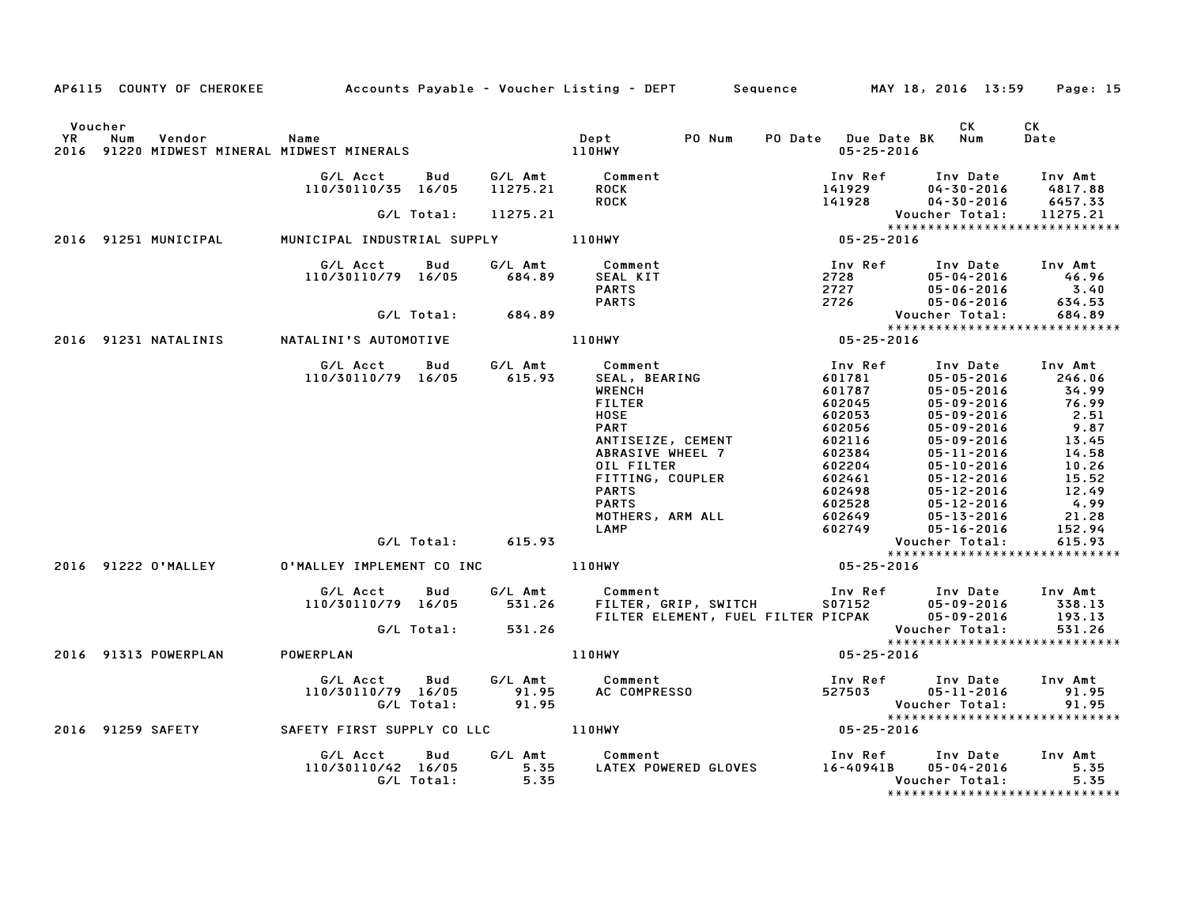|                      |                                                     |                                |                                                                    | AP6115 COUNTY OF CHEROKEE Accounts Payable - Voucher Listing - DEPT Sequence MAY 18, 2016 13:59                                                                                                                                |                                                                                                                                                                                                                                                                                                                                                                        | Page: 15                                                                                                                                                                                                                                                                                                                                                                                                                                                 |
|----------------------|-----------------------------------------------------|--------------------------------|--------------------------------------------------------------------|--------------------------------------------------------------------------------------------------------------------------------------------------------------------------------------------------------------------------------|------------------------------------------------------------------------------------------------------------------------------------------------------------------------------------------------------------------------------------------------------------------------------------------------------------------------------------------------------------------------|----------------------------------------------------------------------------------------------------------------------------------------------------------------------------------------------------------------------------------------------------------------------------------------------------------------------------------------------------------------------------------------------------------------------------------------------------------|
| Voucher<br><b>YR</b> | Vendor<br>Num                                       | Name                           |                                                                    | PO Num<br><b>Dept</b>                                                                                                                                                                                                          | PO Date Due Date BK Num<br>$05 - 25 - 2016$                                                                                                                                                                                                                                                                                                                            | CK<br>CK<br>Date                                                                                                                                                                                                                                                                                                                                                                                                                                         |
|                      |                                                     | G/L Acct<br>110/30110/35 16/05 | Bud                                                                | G/L Amt           Comment<br>11275.21       ROCK                                                                                                                                                                               |                                                                                                                                                                                                                                                                                                                                                                        | Inv Ref Inv Date Inv Amt<br>141929 04-30-2016 4817.88<br>141928 04-30-2016 6457.33                                                                                                                                                                                                                                                                                                                                                                       |
|                      |                                                     |                                |                                                                    | <b>ROCK</b>                                                                                                                                                                                                                    |                                                                                                                                                                                                                                                                                                                                                                        | Voucher Total:<br>11275.21                                                                                                                                                                                                                                                                                                                                                                                                                               |
|                      |                                                     |                                |                                                                    |                                                                                                                                                                                                                                |                                                                                                                                                                                                                                                                                                                                                                        | *****************************                                                                                                                                                                                                                                                                                                                                                                                                                            |
|                      | 2016 91251 MUNICIPAL                                |                                |                                                                    |                                                                                                                                                                                                                                |                                                                                                                                                                                                                                                                                                                                                                        |                                                                                                                                                                                                                                                                                                                                                                                                                                                          |
|                      |                                                     |                                | G/L Acct Bud G/L Amt Comment<br>110/30110/79 16/05 684.89 SEAL KIT | 46.89 COMMENT SEAL KIT (684.89 SEAL KIT PARTS PARTS (684.89 PARTS PARTS FOR TO 2726 UP AND 2728 UP AND 2728 UP AND 2727 UP AND 2728 UP AND 2727 UP AND 2726 UP AND 2726 UP AND 2726 UP AND 2726 UP AND 2726 UP AND 2726 UP AND |                                                                                                                                                                                                                                                                                                                                                                        |                                                                                                                                                                                                                                                                                                                                                                                                                                                          |
|                      |                                                     |                                |                                                                    |                                                                                                                                                                                                                                |                                                                                                                                                                                                                                                                                                                                                                        |                                                                                                                                                                                                                                                                                                                                                                                                                                                          |
|                      |                                                     |                                |                                                                    |                                                                                                                                                                                                                                |                                                                                                                                                                                                                                                                                                                                                                        |                                                                                                                                                                                                                                                                                                                                                                                                                                                          |
|                      | 2016 91231 NATALINIS NATALINI'S AUTOMOTIVE          |                                |                                                                    |                                                                                                                                                                                                                                |                                                                                                                                                                                                                                                                                                                                                                        |                                                                                                                                                                                                                                                                                                                                                                                                                                                          |
|                      |                                                     |                                |                                                                    | <b>WRENCH</b><br><b>FILTER</b><br><b>HOSE</b><br><b>PART</b><br>ANTISEIZE, CEMENT<br>ABRASIVE WHEEL 7<br>OIL FILTER<br>FITTING, COUPLER<br><b>PARTS</b><br><b>PARTS</b><br>MOTHERS, ARM ALL<br>LAMP<br>$05 - 25 - 2016$        | $-25-20$<br>Inv Ref<br>601781<br>60172<br>602045<br>602053<br>602056<br>602116<br>$\begin{array}{cccc} 602384 & 05 - 11 - 2016 \\ 602204 & 05 - 10 - 2016 \\ 602461 & 05 - 12 - 2016 \\ 602498 & 05 - 12 - 2016 \\ 602528 & 05 - 12 - 2016 \\ 602649 & 05 - 13 - 2016 \\ 602649 & 05 - 13 - 2016 \\ 602649 & 05 - 13 - 2016 \end{array}$<br>ьυ2528<br>602649<br>602749 | Inv Date Inv Amt<br>$05 - 05 - 2016$<br>246.06<br>34.99<br>76.99<br>$05 - 05 - 2016$<br>05-09-2016<br>2.51<br>05-09-2016<br>05-09-2016<br>$9.87$<br>$13.45$<br>05-09-2016<br>14.58<br>$10.26$<br>$15.52$<br>$\begin{array}{lll} & & & & 12 & -2016 & & & 12 & -49 \\ 05\text{-}12\text{-}2016 & & & 4 & 99 \\ 05\text{-}17 & 0 & 0 & 0 & 0 \\ \end{array}$<br>21.28<br>152.94<br>05-16-2016<br>Voucher Total:<br>615.93<br>***************************** |
|                      |                                                     |                                | G/L Total: 531.26                                                  | G/L Acct Bud G/L Amt Comment Inv Ref Inv Date Inv Amt<br>110/30110/79 16/05 531.26 FILTER, GRIP, SWITCH S07152 05-09-2016 338.13<br>FILTER ELEMENT, FUEL FILTER PICPAK 05-09-2016 193.13                                       |                                                                                                                                                                                                                                                                                                                                                                        | Voucher Total:<br>531.26                                                                                                                                                                                                                                                                                                                                                                                                                                 |
|                      |                                                     |                                |                                                                    |                                                                                                                                                                                                                                |                                                                                                                                                                                                                                                                                                                                                                        | *****************************                                                                                                                                                                                                                                                                                                                                                                                                                            |
|                      | 2016 91313 POWERPLAN POWERPLAN                      |                                |                                                                    | 110HWY                                                                                                                                                                                                                         | 05-25-2016                                                                                                                                                                                                                                                                                                                                                             |                                                                                                                                                                                                                                                                                                                                                                                                                                                          |
|                      |                                                     |                                |                                                                    |                                                                                                                                                                                                                                |                                                                                                                                                                                                                                                                                                                                                                        | Voucher Total: 91.95<br>*****************************<br>05-25-2016                                                                                                                                                                                                                                                                                                                                                                                      |
|                      | 2016 91259 SAFETY CAFETY FIRST SUPPLY CO LLC 110HWY |                                |                                                                    |                                                                                                                                                                                                                                |                                                                                                                                                                                                                                                                                                                                                                        |                                                                                                                                                                                                                                                                                                                                                                                                                                                          |
|                      |                                                     |                                |                                                                    | G/L Acct Bud G/L Amt Comment Inv Ref Inv Date<br>110/30110/42 16/05 5.35 LATEX POWERED GLOVES 16-40941B 05-04-2016<br>G/L Total: 5.35 5.35 Voucher Total:                                                                      |                                                                                                                                                                                                                                                                                                                                                                        | Inv Ref Inv Date Inv Amt<br>5.35<br>5.35<br>*****************************                                                                                                                                                                                                                                                                                                                                                                                |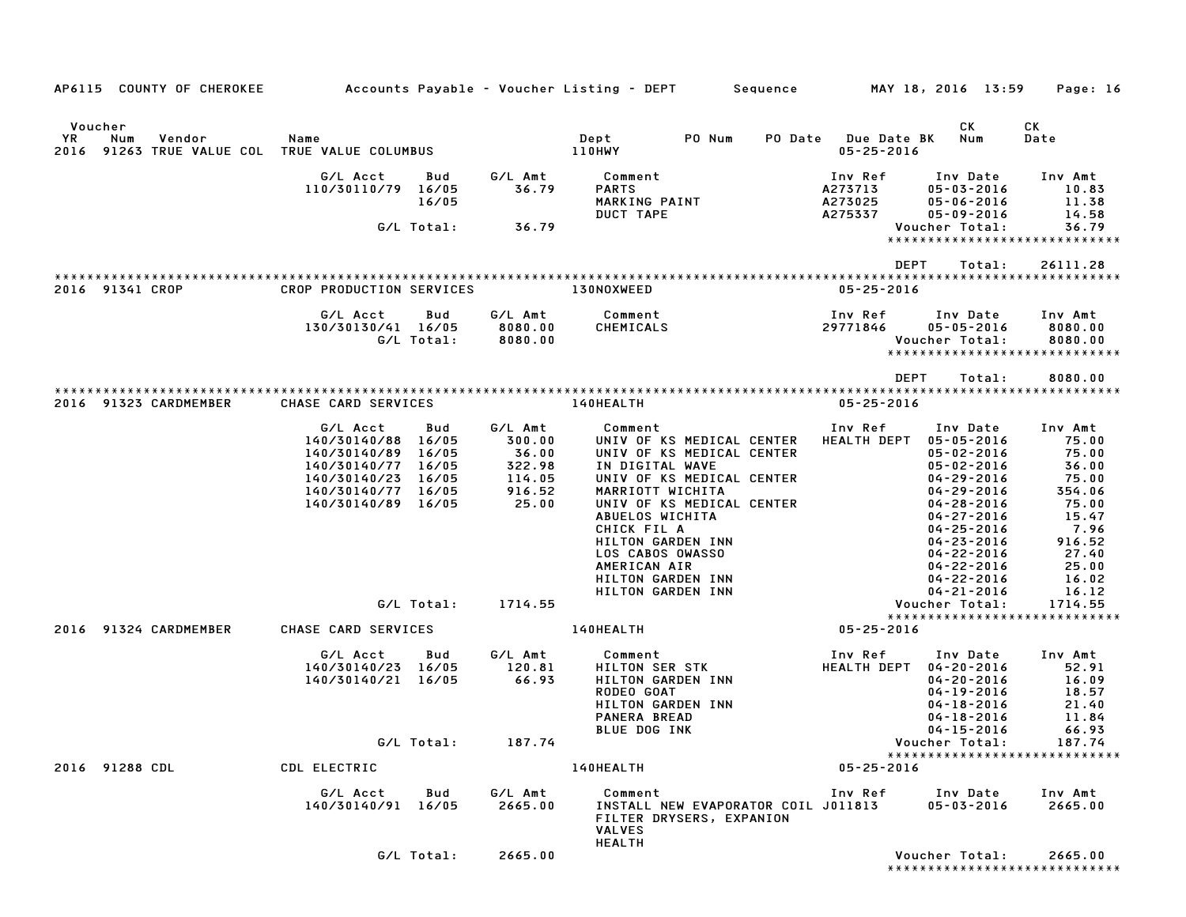| AP6115 COUNTY OF CHEROKEE                                                   |                                                                                                                                        |              |                                                                   | Accounts Payable – Voucher Listing – DEPT         Sequence                                                                                                                                                                                                                                              |                |                                            | MAY 18, 2016 13:59                                                                                                                                                                                                                                                     | Page: 16                                                                                                                      |
|-----------------------------------------------------------------------------|----------------------------------------------------------------------------------------------------------------------------------------|--------------|-------------------------------------------------------------------|---------------------------------------------------------------------------------------------------------------------------------------------------------------------------------------------------------------------------------------------------------------------------------------------------------|----------------|--------------------------------------------|------------------------------------------------------------------------------------------------------------------------------------------------------------------------------------------------------------------------------------------------------------------------|-------------------------------------------------------------------------------------------------------------------------------|
| Voucher                                                                     |                                                                                                                                        |              |                                                                   |                                                                                                                                                                                                                                                                                                         |                |                                            | СK                                                                                                                                                                                                                                                                     | CК                                                                                                                            |
| <b>YR</b><br>Num<br>Vendor<br>2016 91263 TRUE VALUE COL TRUE VALUE COLUMBUS | Name                                                                                                                                   |              |                                                                   | Dept<br>PO Num<br>110HWY                                                                                                                                                                                                                                                                                | <b>PO Date</b> | <b>Due Date BK</b><br>$05 - 25 - 2016$     | Num                                                                                                                                                                                                                                                                    | Date                                                                                                                          |
|                                                                             | G/L Acct<br>110/30110/79 16/05                                                                                                         | Bud<br>16/05 | G/L Amt<br>36.79                                                  | Comment<br><b>PARTS</b><br>MARKING PAINT<br>DUCT TAPE                                                                                                                                                                                                                                                   |                | Inv Ref<br>A273713<br>A273025<br>A275337   | Inv Date<br>$05 - 03 - 2016$<br>$05 - 06 - 2016$<br>$05 - 09 - 2016$                                                                                                                                                                                                   | Inv Amt<br>10.83<br>11.38<br>14.58                                                                                            |
|                                                                             | G/L Total:                                                                                                                             |              | 36.79                                                             |                                                                                                                                                                                                                                                                                                         |                |                                            | Voucher Total:                                                                                                                                                                                                                                                         | 36.79<br>*****************************                                                                                        |
|                                                                             |                                                                                                                                        |              |                                                                   |                                                                                                                                                                                                                                                                                                         |                | <b>DEPT</b>                                | Total:                                                                                                                                                                                                                                                                 | 26111.28                                                                                                                      |
| 2016 91341 CROP                                                             | CROP PRODUCTION SERVICES                                                                                                               |              |                                                                   | 130NOXWEED                                                                                                                                                                                                                                                                                              |                | $05 - 25 - 2016$                           |                                                                                                                                                                                                                                                                        |                                                                                                                               |
|                                                                             | G/L Acct<br>130/30130/41 16/05<br>G/L Total:                                                                                           | Bud          | G/L Amt<br>8080.00<br>8080.00                                     | Comment<br>CHEMICALS                                                                                                                                                                                                                                                                                    |                | Inv Ref<br>29771846                        | Inv Date<br>$05 - 05 - 2016$<br>Voucher Total:                                                                                                                                                                                                                         | Inv Amt<br>8080.00<br>8080.00<br>******************************                                                               |
|                                                                             |                                                                                                                                        |              |                                                                   |                                                                                                                                                                                                                                                                                                         |                | <b>DEPT</b>                                | Total:                                                                                                                                                                                                                                                                 | 8080.00                                                                                                                       |
| 2016 91323 CARDMEMBER                                                       | CHASE CARD SERVICES                                                                                                                    |              |                                                                   | 140HEALTH                                                                                                                                                                                                                                                                                               |                | $05 - 25 - 2016$                           |                                                                                                                                                                                                                                                                        |                                                                                                                               |
|                                                                             | G/L Acct<br>140/30140/88 16/05<br>140/30140/89<br>140/30140/77 16/05<br>140/30140/23 16/05<br>140/30140/77 16/05<br>140/30140/89 16/05 | Bud<br>16/05 | G/L Amt<br>300.00<br>36.00<br>322.98<br>114.05<br>916.52<br>25.00 | Comment<br>UNIV OF KS MEDICAL CENTER<br>UNIV OF KS MEDICAL CENTER<br>IN DIGITAL WAVE<br>UNIV OF KS MEDICAL CENTER<br>MARRIOTT WICHITA<br>UNIV OF KS MEDICAL CENTER<br>ABUELOS WICHITA<br>CHICK FIL A<br>HILTON GARDEN INN<br>LOS CABOS OWASSO<br>AMERICAN AIR<br>HILTON GARDEN INN<br>HILTON GARDEN INN |                | Inv Ref<br><b>HEALTH DEPT</b>              | Inv Date<br>05-05-2016<br>$05 - 02 - 2016$<br>$05 - 02 - 2016$<br>$04 - 29 - 2016$<br>$04 - 29 - 2016$<br>$04 - 28 - 2016$<br>$04 - 27 - 2016$<br>$04 - 25 - 2016$<br>$04 - 23 - 2016$<br>$04 - 22 - 2016$<br>$04 - 22 - 2016$<br>$04 - 22 - 2016$<br>$04 - 21 - 2016$ | Inv Amt<br>75.00<br>75.00<br>36.00<br>75.00<br>354.06<br>75.00<br>15.47<br>7.96<br>916.52<br>27.40<br>25.00<br>16.02<br>16.12 |
|                                                                             |                                                                                                                                        | G/L Total:   | 1714.55                                                           |                                                                                                                                                                                                                                                                                                         |                |                                            | Voucher Total:                                                                                                                                                                                                                                                         | 1714.55<br>*****************************                                                                                      |
| 2016 91324 CARDMEMBER                                                       | CHASE CARD SERVICES<br>G/L Acct<br>140/30140/23 16/05<br>140/30140/21 16/05                                                            | Bud          | G/L Amt<br>120.81<br>66.93                                        | 140HEALTH<br>Comment<br><b>HILTON SER STK</b><br>HILTON GARDEN INN<br>RODEO GOAT<br><b>HILTON GARDEN INN</b><br><b>PANERA BREAD</b><br><b>BLUE DOG INK</b>                                                                                                                                              |                | $05 - 25 - 2016$<br>Inv Ref<br>HEALTH DEPT | Inv Date<br>04-20-2016<br>$04 - 20 - 2016$<br>04-19-2016<br>$04 - 18 - 2016$<br>$04 - 18 - 2016$<br>$04 - 15 - 2016$                                                                                                                                                   | Inv Amt<br>52.91<br>16.09<br>18.57<br>21.40<br>11.84<br>66.93                                                                 |
|                                                                             |                                                                                                                                        | G/L Total:   | 187.74                                                            |                                                                                                                                                                                                                                                                                                         |                |                                            | Voucher Total:                                                                                                                                                                                                                                                         | 187.74<br>*****************************                                                                                       |
| 2016 91288 CDL                                                              | CDL ELECTRIC                                                                                                                           |              |                                                                   | 140HEALTH                                                                                                                                                                                                                                                                                               |                | $05 - 25 - 2016$                           |                                                                                                                                                                                                                                                                        |                                                                                                                               |
|                                                                             | G/L Acct<br>140/30140/91 16/05                                                                                                         | Bud          | G/L Amt<br>2665.00                                                | Comment<br>INSTALL NEW EVAPORATOR COIL JO11813<br>FILTER DRYSERS, EXPANION<br><b>VALVES</b><br><b>HEALTH</b>                                                                                                                                                                                            |                | Inv Ref                                    | Inv Date<br>$05 - 03 - 2016$                                                                                                                                                                                                                                           | Inv Amt<br>2665.00                                                                                                            |
|                                                                             |                                                                                                                                        | G/L Total:   | 2665.00                                                           |                                                                                                                                                                                                                                                                                                         |                |                                            | Voucher Total:                                                                                                                                                                                                                                                         | 2665.00<br>*****************************                                                                                      |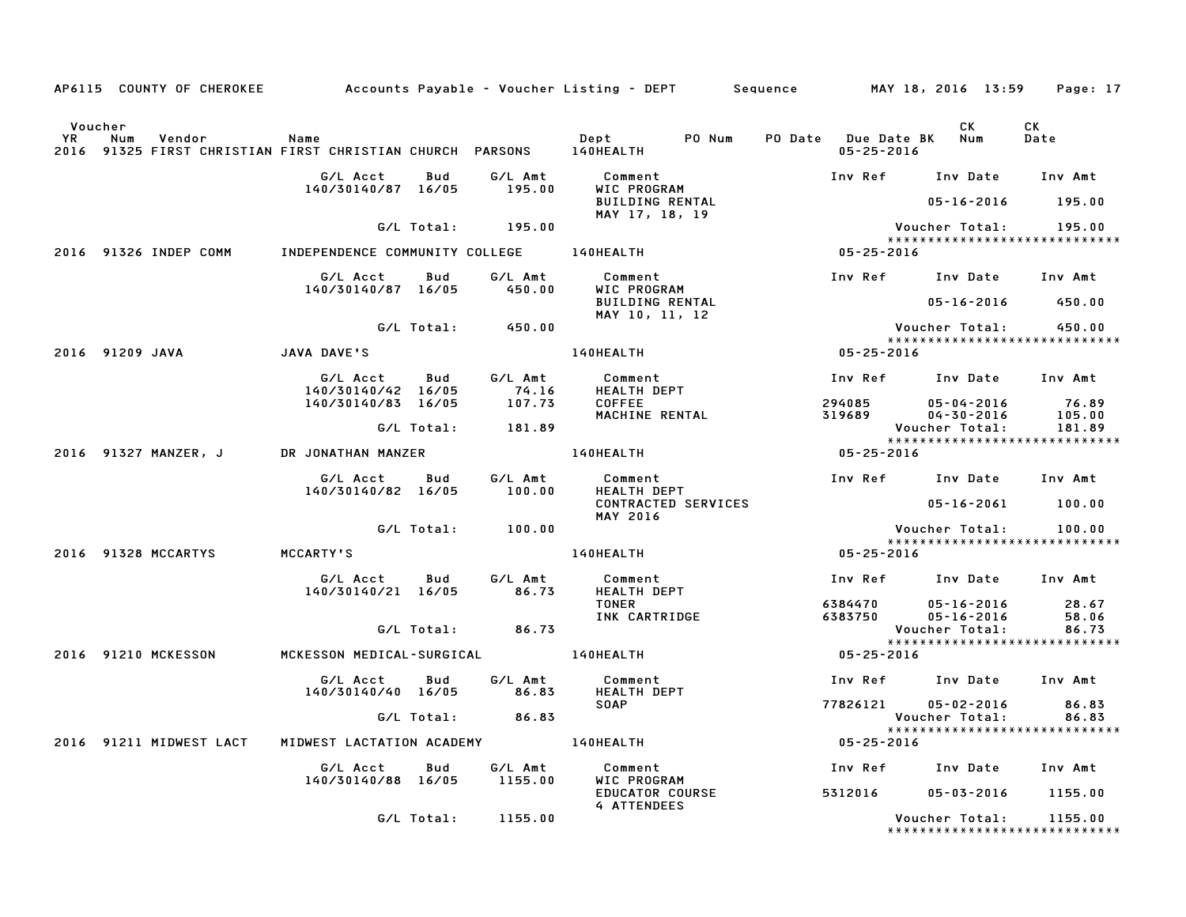|             |                 |                       |                         |                                                                        |            |                       | AP6115 COUNTY OF CHEROKEE            Accounts Payable – Voucher Listing – DEPT        Sequence |                  | MAY 18, 2016 13:59                              | Page: 17        |
|-------------|-----------------|-----------------------|-------------------------|------------------------------------------------------------------------|------------|-----------------------|------------------------------------------------------------------------------------------------|------------------|-------------------------------------------------|-----------------|
|             | Voucher         |                       |                         |                                                                        |            |                       |                                                                                                |                  | CK.                                             | CK              |
| YR.<br>2016 | Num             | Vendor                |                         | Name<br>91325 FIRST CHRISTIAN FIRST CHRISTIAN CHURCH PARSONS 140HEALTH |            |                       | Dept<br>PO Num                                                                                 | $05 - 25 - 2016$ | PO Date Due Date BK Num                         | Date            |
|             |                 |                       |                         | G/L Acct<br>140/30140/87 16/05                                         | Bud        | G/L Amt<br>195.00     | Comment<br>WIC PROGRAM                                                                         |                  | Inv Ref Inv Date Inv Amt                        |                 |
|             |                 |                       |                         |                                                                        |            |                       | <b>BUILDING RENTAL</b><br>MAY 17, 18, 19                                                       |                  | $05 - 16 - 2016$                                | 195.00          |
|             |                 |                       |                         |                                                                        |            | $G/L$ Total: $195.00$ |                                                                                                |                  | Voucher Total:<br>***************************** | 195.00          |
|             |                 | 2016 91326 INDEP COMM |                         | INDEPENDENCE COMMUNITY COLLEGE 140HEALTH                               |            |                       |                                                                                                | $05 - 25 - 2016$ |                                                 |                 |
|             |                 |                       |                         | G/L Acct<br>140/30140/87 16/05                                         | Bud        | G/L Amt<br>450.00     | Comment<br>WIC PROGRAM                                                                         |                  | Inv Ref Inv Date Inv Amt                        |                 |
|             |                 |                       |                         |                                                                        |            |                       | <b>BUILDING RENTAL</b><br>MAY 10, 11, 12                                                       |                  | 05-16-2016                                      | 450.00          |
|             |                 |                       |                         |                                                                        | G/L Total: | 450.00                |                                                                                                |                  | Voucher Total:<br>***************************** | 450.00          |
|             | 2016 91209 JAVA |                       |                         | JAVA DAVE'S                                                            |            |                       | 140HEALTH                                                                                      | $05 - 25 - 2016$ |                                                 |                 |
|             |                 |                       |                         | G/L Acct                                                               | Bud        | G/L Amt               | Comment                                                                                        | Inv Ref          | Inv Date Inv Amt                                |                 |
|             |                 |                       |                         | 140/30140/42 16/05                                                     |            | 74.16                 | HEALTH DEPT                                                                                    |                  |                                                 |                 |
|             |                 |                       |                         | 140/30140/83 16/05                                                     |            | 107.73                | COFFEE<br>MACHINE RENTAL                                                                       | 294085<br>319689 | 05-04-2016<br>$04 - 30 - 2016$                  | 76.89<br>105.00 |
|             |                 |                       |                         |                                                                        | G/L Total: | 181.89                |                                                                                                |                  | Voucher Total:<br>***************************** | 181.89          |
|             |                 | 2016 91327 MANZER, J  |                         | DR JONATHAN MANZER                                                     |            |                       | 140HEALTH                                                                                      | 05-25-2016       |                                                 |                 |
|             |                 |                       |                         | G/L Acct<br>140/30140/82 16/05                                         | Bud        | G/L Amt<br>100.00     | Comment<br>HEALTH DEPT                                                                         |                  | Inv Ref Inv Date Inv Amt                        |                 |
|             |                 |                       |                         |                                                                        |            |                       | CONTRACTED SERVICES<br><b>MAY 2016</b>                                                         |                  | 05-16-2061                                      | 100.00          |
|             |                 |                       |                         |                                                                        | G/L Total: | 100.00                |                                                                                                |                  | Voucher Total:                                  | 100.00          |
|             |                 |                       |                         |                                                                        |            |                       |                                                                                                |                  | *****************************                   |                 |
|             |                 | 2016 91328 MCCARTYS   |                         | MCCARTY'S                                                              |            |                       | 140HEALTH                                                                                      | 05-25-2016       |                                                 |                 |
|             |                 |                       |                         | G/L Acct<br>140/30140/21 16/05                                         | Bud        | G/L Amt<br>86.73      | Comment<br>HEALTH DEPT                                                                         |                  | Inv Ref Inv Date Inv Amt                        |                 |
|             |                 |                       |                         |                                                                        |            |                       | TONER                                                                                          |                  | 6384470 05-16-2016                              | 28.67           |
|             |                 |                       |                         |                                                                        | G/L Total: | 86.73                 | INK CARTRIDGE                                                                                  | 6383750          | 05-16-2016<br>Voucher Total:                    | 58.06<br>86.73  |
|             |                 | 2016 91210 MCKESSON   |                         | MCKESSON MEDICAL-SURGICAL                                              |            |                       | <b>140HEALTH</b>                                                                               | $05 - 25 - 2016$ | *****************************                   |                 |
|             |                 |                       |                         | G/L Acct<br>140/30140/40 16/05                                         | Bud        | G/L Amt<br>86.83      | Comment<br>HEALTH DEPT                                                                         |                  | Inv Ref Inv Date Inv Amt                        |                 |
|             |                 |                       |                         |                                                                        |            |                       | <b>SOAP</b>                                                                                    | 77826121         | $05 - 02 - 2016$                                | 86.83           |
|             |                 |                       |                         |                                                                        | G/L Total: | 86.83                 |                                                                                                |                  | Voucher Total:<br>***************************** | 86.83           |
|             |                 |                       | 2016 91211 MIDWEST LACT | MIDWEST LACTATION ACADEMY                                              |            |                       | <b>140HEALTH</b>                                                                               | 05-25-2016       |                                                 |                 |
|             |                 |                       |                         | G/L Acct<br>140/30140/88 16/05                                         | Bud        | G/L Amt<br>1155.00    | Comment<br>WIC PROGRAM                                                                         |                  | Inv Ref Inv Date                                | Inv Amt         |
|             |                 |                       |                         |                                                                        |            |                       | <b>EDUCATOR COURSE</b><br><b>4 ATTENDEES</b>                                                   | 5312016          | 05-03-2016                                      | 1155.00         |
|             |                 |                       |                         |                                                                        | G/L Total: | 1155.00               |                                                                                                |                  | Voucher Total:<br>***************************** | 1155.00         |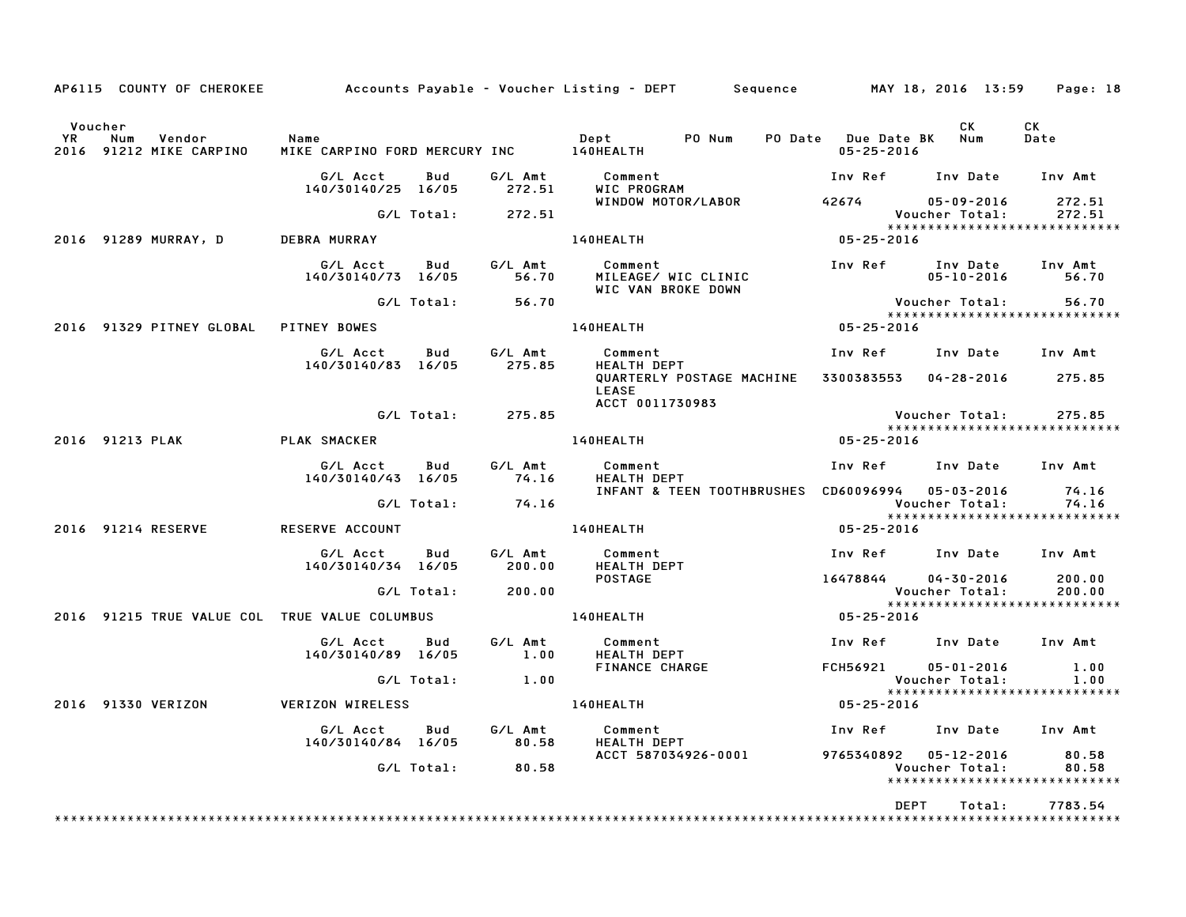|                      | AP6115 COUNTY OF CHEROKEE                     |                                                 |            |                   | Accounts Payable – Voucher Listing – DEPT         Sequence |                                         | MAY 18, 2016 13:59                 | Page: 18                                          |
|----------------------|-----------------------------------------------|-------------------------------------------------|------------|-------------------|------------------------------------------------------------|-----------------------------------------|------------------------------------|---------------------------------------------------|
| Voucher<br><b>YR</b> | Num<br>Vendor<br>2016 91212 MIKE CARPINO      | Name<br>MIKE CARPINO FORD MERCURY INC 140HEALTH |            |                   | Dept<br>PO Num                                             | PO Date Due Date BK<br>$05 - 25 - 2016$ | CK<br>Num                          | CK<br>Date                                        |
|                      |                                               | G/L Acct<br>140/30140/25 16/05                  | Bud        | G/L Amt<br>272.51 | Comment<br>WIC PROGRAM                                     | Inv Ref Inv Date Inv Amt                |                                    |                                                   |
|                      |                                               |                                                 | G/L Total: | 272.51            | WINDOW MOTOR/LABOR                                         | 42674                                   | 05-09-2016<br>Voucher Total:       | 272.51<br>272.51                                  |
|                      | 2016 91289 MURRAY, D                          | DEBRA MURRAY                                    |            |                   | 140HEALTH                                                  | $05 - 25 - 2016$                        |                                    | *****************************                     |
|                      |                                               | G/L Acct<br>140/30140/73 16/05                  | Bud        | G/L Amt<br>56.70  | Comment<br>MILEAGE/ WIC CLINIC<br>WIC VAN BROKE DOWN       | Inv Ref                                 | Inv Date<br>$05 - 10 - 2016$       | Inv Amt<br>56.70                                  |
|                      |                                               |                                                 | G/L Total: | 56.70             |                                                            |                                         | Voucher Total:                     | 56.70<br>*****************************            |
|                      | 2016 91329 PITNEY GLOBAL                      | <b>PITNEY BOWES</b>                             |            |                   | 140HEALTH                                                  | 05-25-2016                              |                                    |                                                   |
|                      |                                               | G/L Acct<br>140/30140/83 16/05                  | Bud        | G/L Amt<br>275.85 | Comment<br><b>HEALTH DEPT</b>                              | Inv Ref                                 | Inv Date Inv Amt                   |                                                   |
|                      |                                               |                                                 |            |                   | QUARTERLY POSTAGE MACHINE<br>LEASE<br>ACCT 0011730983      | 3300383553 04-28-2016                   |                                    | 275.85                                            |
|                      |                                               |                                                 | G/L Total: | 275.85            |                                                            |                                         | Voucher Total:                     | 275.85                                            |
|                      | 2016 91213 PLAK                               | PLAK SMACKER                                    |            |                   | 140HEALTH                                                  | 05-25-2016                              |                                    | *****************************                     |
|                      |                                               | G/L Acct<br>140/30140/43 16/05                  | Bud        | G/L Amt<br>74.16  | Comment<br>HEALTH DEPT                                     | Inv Ref Inv Date                        |                                    | Inv Amt                                           |
|                      |                                               |                                                 | G/L Total: | 74.16             | INFANT & TEEN TOOTHBRUSHES                                 | CD60096994 05-03-2016                   | Voucher Total:                     | 74.16<br>74.16                                    |
|                      | 2016 91214 RESERVE                            | <b>RESERVE ACCOUNT</b>                          |            |                   | 140HEALTH                                                  | 05-25-2016                              |                                    | *****************************                     |
|                      |                                               | G/L Acct<br>140/30140/34 16/05                  | Bud        | G/L Amt<br>200.00 | Comment<br>HEALTH DEPT                                     | Inv Ref Inv Date Inv Amt                |                                    |                                                   |
|                      |                                               |                                                 | G/L Total: | 200.00            | <b>POSTAGE</b>                                             | 16478844                                | $04 - 30 - 2016$<br>Voucher Total: | 200.00<br>200.00<br>***************************** |
|                      | 2016 91215 TRUE VALUE COL TRUE VALUE COLUMBUS |                                                 |            |                   | <b>140HEALTH</b>                                           | 05-25-2016                              |                                    |                                                   |
|                      |                                               | G/L Acct<br>140/30140/89 16/05                  | Bud        | G/L Amt<br>1.00   | Comment<br><b>HEALTH DEPT</b>                              | Inv Ref                                 | Inv Date                           | Inv Amt                                           |
|                      |                                               |                                                 | G/L Total: | 1.00              | FINANCE CHARGE                                             | <b>FCH56921</b>                         | $05 - 01 - 2016$<br>Voucher Total: | 1.00<br>1.00                                      |
|                      | 2016 91330 VERIZON                            | VERIZON WIRELESS                                |            |                   | 140HEALTH                                                  | 05-25-2016                              |                                    | *****************************                     |
|                      |                                               | G/L Acct<br>140/30140/84 16/05                  | Bud        | G/L Amt<br>80.58  | Comment<br><b>HEALTH DEPT</b>                              | Inv Ref      Inv Date                   |                                    | Inv Amt                                           |
|                      |                                               |                                                 | G/L Total: | 80.58             | ACCT 587034926-0001                                        | 9765340892 05-12-2016                   | Voucher Total:                     | 80.58<br>80.58<br>*****************************   |
|                      |                                               |                                                 |            |                   |                                                            | <b>DEPT</b>                             | Total:                             | 7783.54                                           |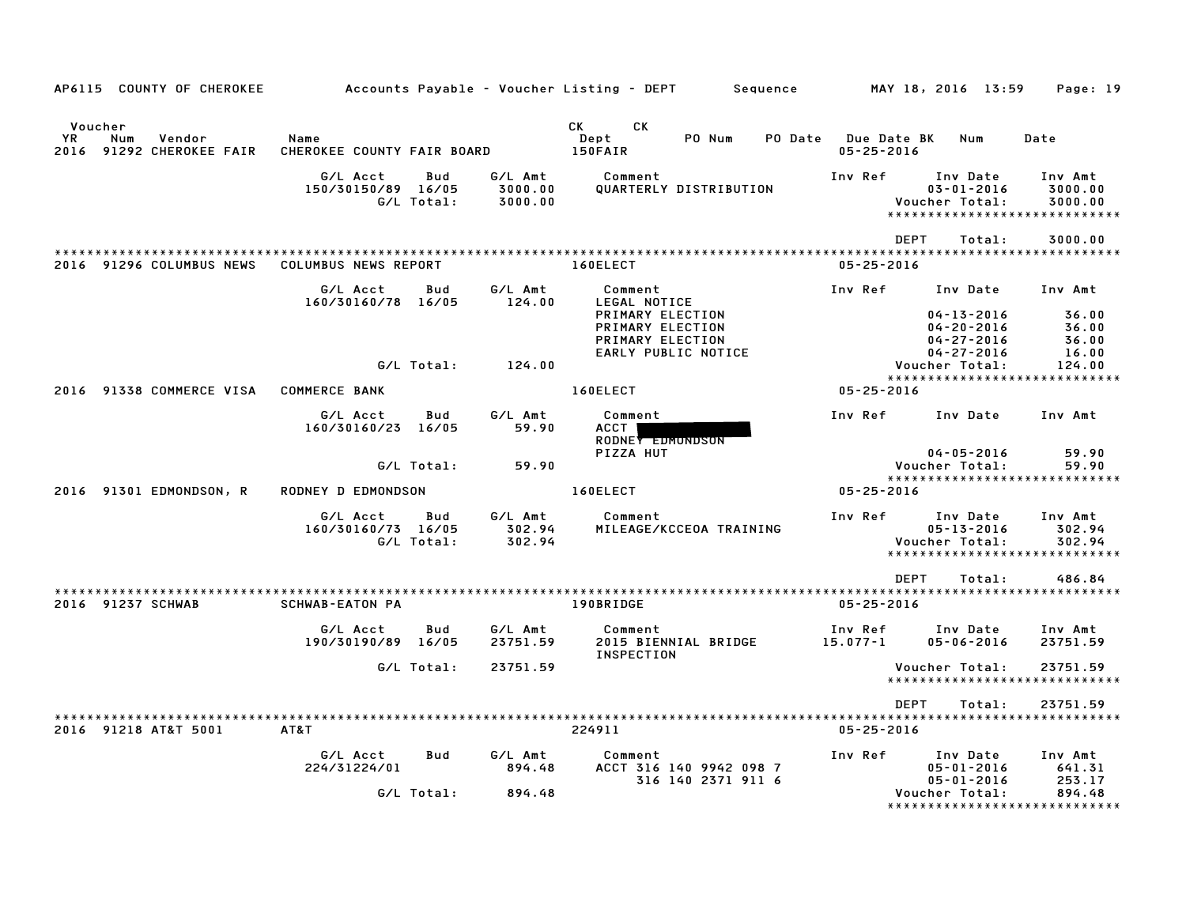| AP6115 COUNTY OF CHEROKEE                                   |                                    |                   |                               | Accounts Payable – Voucher Listing – DEPT<br>Sequence                                                                                                                                                                                                             |                                                | MAY 18, 2016 13:59                                                              | Page: 19                           |
|-------------------------------------------------------------|------------------------------------|-------------------|-------------------------------|-------------------------------------------------------------------------------------------------------------------------------------------------------------------------------------------------------------------------------------------------------------------|------------------------------------------------|---------------------------------------------------------------------------------|------------------------------------|
| Voucher<br>YR.<br>Num<br>Vendor<br>2016 91292 CHEROKEE FAIR | Name<br>CHEROKEE COUNTY FAIR BOARD |                   |                               | CK and the set of the set of the set of the set of the set of the set of the set of the set of the set of the set of the set of the set of the set of the set of the set of the set of the set of the set of the set of the se<br>CK<br>PO Num<br>Dept<br>150FAIR | <b>PO Date</b> Due Date BK<br>$05 - 25 - 2016$ | Num                                                                             | Date                               |
|                                                             | G/L Acct<br>150/30150/89 16/05     | Bud<br>G/L Total: | G/L Amt<br>3000.00<br>3000.00 | Comment<br>QUARTERLY DISTRIBUTION                                                                                                                                                                                                                                 | Inv Ref                                        | Inv Date<br>$03 - 01 - 2016$<br>Voucher Total:<br>***************************** | Inv Amt<br>3000.00<br>3000.00      |
|                                                             |                                    |                   |                               |                                                                                                                                                                                                                                                                   |                                                | <b>DEPT</b><br>Total:                                                           | 3000.00                            |
| 2016 91296 COLUMBUS NEWS                                    | COLUMBUS NEWS REPORT               |                   |                               | 160ELECT                                                                                                                                                                                                                                                          | $05 - 25 - 2016$                               |                                                                                 |                                    |
|                                                             | G/L Acct<br>160/30160/78 16/05     | Bud               | G/L Amt<br>124.00             | Comment<br>LEGAL NOTICE<br>PRIMARY ELECTION<br>PRIMARY ELECTION<br>PRIMARY ELECTION                                                                                                                                                                               | Inv Ref                                        | Inv Date<br>$04 - 13 - 2016$<br>$04 - 20 - 2016$<br>$04 - 27 - 2016$            | Inv Amt<br>36.00<br>36.00<br>36.00 |
|                                                             |                                    | G/L Total:        | 124.00                        | EARLY PUBLIC NOTICE                                                                                                                                                                                                                                               |                                                | $04 - 27 - 2016$<br>Voucher Total:                                              | 16.00<br>124.00                    |
| 2016 91338 COMMERCE VISA                                    | <b>COMMERCE BANK</b>               |                   |                               | 160ELECT                                                                                                                                                                                                                                                          | $05 - 25 - 2016$                               | *****************************                                                   |                                    |
|                                                             | G/L Acct<br>160/30160/23 16/05     | Bud               | G/L Amt<br>59.90              | Comment<br><b>ACCT</b><br>RODNEY EDMONDSON                                                                                                                                                                                                                        | Inv Ref                                        | Inv Date                                                                        | Inv Amt                            |
|                                                             |                                    | G/L Total:        | 59.90                         | PIZZA HUT                                                                                                                                                                                                                                                         |                                                | $04 - 05 - 2016$<br>Voucher Total:                                              | 59.90<br>59.90                     |
| 2016 91301 EDMONDSON, R                                     | RODNEY D EDMONDSON                 |                   |                               | 160ELECT                                                                                                                                                                                                                                                          | 05-25-2016                                     | ******************************                                                  |                                    |
|                                                             | G/L Acct<br>160/30160/73 16/05     | Bud<br>G/L Total: | G/L Amt<br>302.94<br>302.94   | Comment<br>MILEAGE/KCCEOA TRAINING                                                                                                                                                                                                                                | Inv Ref                                        | Inv Date<br>$05 - 13 - 2016$<br>Voucher Total:<br>***************************** | Inv Amt<br>302.94<br>302.94        |
| 2016 91237 SCHWAB                                           | <b>SCHWAB-EATON PA</b>             |                   |                               | 190BRIDGE                                                                                                                                                                                                                                                         | $05 - 25 - 2016$                               | <b>DEPT</b><br>Total:                                                           | 486.84                             |
|                                                             | G/L Acct<br>190/30190/89 16/05     | Bud               | G/L Amt<br>23751.59           | Comment<br>2015 BIENNIAL BRIDGE<br><b>INSPECTION</b>                                                                                                                                                                                                              | Inv Ref<br>15.077-1                            | Inv Date<br>$05 - 06 - 2016$                                                    | Inv Amt<br>23751.59                |
|                                                             |                                    | G/L Total:        | 23751.59                      |                                                                                                                                                                                                                                                                   |                                                | Voucher Total:<br>*****************************                                 | 23751.59                           |
| 2016 91218 AT&T 5001                                        | AT&T                               |                   |                               | 224911                                                                                                                                                                                                                                                            | $05 - 25 - 2016$                               | <b>DEPT</b><br>Total:                                                           | 23751.59                           |
|                                                             | G/L Acct<br>224/31224/01           | <b>Bud</b>        | G/L Amt<br>894.48             | Comment<br>ACCT 316 140 9942 098 7<br>316 140 2371 911 6                                                                                                                                                                                                          | Inv Ref                                        | Inv Date<br>$05 - 01 - 2016$<br>$05 - 01 - 2016$                                | Inv Amt<br>641.31<br>253.17        |
|                                                             |                                    | G/L Total:        | 894.48                        |                                                                                                                                                                                                                                                                   |                                                | Voucher Total:<br>*****************************                                 | 894.48                             |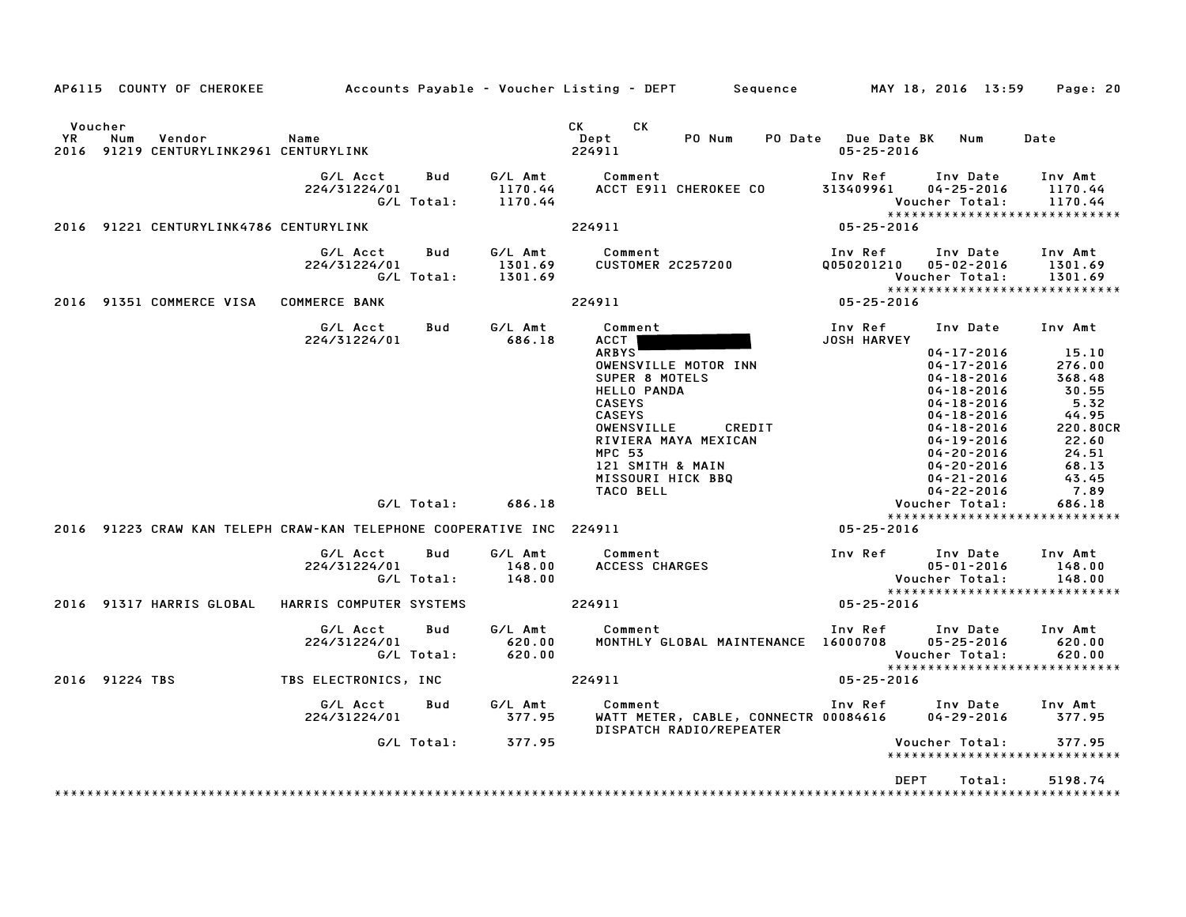|                |                                                         |                                                                                                                                                                        |                                                            | AP6115 COUNTY OF CHEROKEE Accounts Payable – Voucher Listing – DEPT Sequence MAY 18, 2016 13:59                                                                                                                                                                                              |                                                        |                                                                                                                                                                                                                                                                                                                                | Page: 20                                                                                                                                                                              |
|----------------|---------------------------------------------------------|------------------------------------------------------------------------------------------------------------------------------------------------------------------------|------------------------------------------------------------|----------------------------------------------------------------------------------------------------------------------------------------------------------------------------------------------------------------------------------------------------------------------------------------------|--------------------------------------------------------|--------------------------------------------------------------------------------------------------------------------------------------------------------------------------------------------------------------------------------------------------------------------------------------------------------------------------------|---------------------------------------------------------------------------------------------------------------------------------------------------------------------------------------|
| Voucher<br>YR. | Num<br>Vendor<br>2016 91219 CENTURYLINK2961 CENTURYLINK | Name                                                                                                                                                                   |                                                            | <b>CK</b><br>CK<br>PO Num<br>Dept<br>224911                                                                                                                                                                                                                                                  | PO Date Due Date BK<br>$05 - 25 - 2016$                | Num                                                                                                                                                                                                                                                                                                                            | Date                                                                                                                                                                                  |
|                |                                                         | G/L Acct<br>Bud<br>224/31224/01<br>G/L Total:                                                                                                                          | G/L Amt<br>1170.44<br>1170.44                              | Comment<br>ACCT E911 CHEROKEE CO                                                                                                                                                                                                                                                             | Inv Ref<br>313409961                                   | Inv Date<br>$04 - 25 - 2016$<br>Voucher Total:                                                                                                                                                                                                                                                                                 | Inv Amt<br>1170.44<br>1170.44<br>******************************                                                                                                                       |
|                | 2016 91221 CENTURYLINK4786 CENTURYLINK                  |                                                                                                                                                                        |                                                            | 224911                                                                                                                                                                                                                                                                                       | 05-25-2016                                             |                                                                                                                                                                                                                                                                                                                                |                                                                                                                                                                                       |
|                |                                                         | <b>Bud</b><br>G/L Acct<br>224/31224/01<br>G/L Total:                                                                                                                   | G/L Amt<br>1301.69<br>1301.69                              | Comment<br><b>CUSTOMER 2C257200</b>                                                                                                                                                                                                                                                          | Inv Ref<br>Q050201210                                  | Inv Date<br>$05 - 02 - 2016$<br>Voucher Total:                                                                                                                                                                                                                                                                                 | Inv Amt<br>1301.69<br>1301.69<br>*****************************                                                                                                                        |
|                | 2016 91351 COMMERCE VISA COMMERCE BANK                  |                                                                                                                                                                        |                                                            | 224911                                                                                                                                                                                                                                                                                       | 05-25-2016                                             |                                                                                                                                                                                                                                                                                                                                |                                                                                                                                                                                       |
|                |                                                         | G/L Acct<br>Bud<br>224/31224/01<br>G/L Total:<br>2016 91223 CRAW KAN TELEPH CRAW-KAN TELEPHONE COOPERATIVE INC 224911<br>G/L Acct<br>Bud<br>224/31224/01<br>G/L Total: | G/L Amt<br>686.18<br>686.18<br>G/L Amt<br>148.00<br>148.00 | Comment<br><b>ACCT</b><br><b>ARBYS</b><br>OWENSVILLE MOTOR INN<br>SUPER 8 MOTELS<br><b>HELLO PANDA</b><br><b>CASEYS</b><br><b>CASEYS</b><br>OWENSVILLE<br>CREDIT<br>RIVIERA MAYA MEXICAN<br><b>MPC 53</b><br>121 SMITH & MAIN<br>MISSOURI HICK BBQ<br>TACO BELL<br>Comment<br>ACCESS CHARGES | Inv Ref<br><b>JOSH HARVEY</b><br>05-25-2016<br>Inv Ref | Inv Date Inv Amt<br>$04 - 17 - 2016$<br>$04 - 17 - 2016$<br>$04 - 18 - 2016$<br>$04 - 18 - 2016$<br>$04 - 18 - 2016$<br>$04 - 18 - 2016$<br>04-18-2016<br>$04 - 19 - 2016$<br>$04 - 20 - 2016$<br>$04 - 20 - 2016$<br>$04 - 21 - 2016$<br>$04 - 22 - 2016$<br>Voucher Total:<br>Inv Date<br>$05 - 01 - 2016$<br>Voucher Total: | 15.10<br>276.00<br>368.48<br>30.55<br>5.32<br>44.95<br>220.80CR<br>22.60<br>24.51<br>68.13<br>43.45<br>7.89<br>686.18<br>*****************************<br>Inv Amt<br>148.00<br>148.00 |
|                | 2016 91317 HARRIS GLOBAL                                | HARRIS COMPUTER SYSTEMS                                                                                                                                                |                                                            | 224911                                                                                                                                                                                                                                                                                       | 05-25-2016                                             |                                                                                                                                                                                                                                                                                                                                | *****************************                                                                                                                                                         |
|                |                                                         | Bud<br>G/L Acct<br>224/31224/01<br>G/L Total:                                                                                                                          | G/L Amt<br>620.00<br>620.00                                | Comment<br>MONTHLY GLOBAL MAINTENANCE 16000708                                                                                                                                                                                                                                               | Inv Ref                                                | Inv Date<br>$05 - 25 - 2016$<br>Voucher Total:                                                                                                                                                                                                                                                                                 | Inv Amt<br>620.00<br>620.00<br>******************************                                                                                                                         |
|                | 2016 91224 TBS                                          | TBS ELECTRONICS, INC                                                                                                                                                   |                                                            | 224911                                                                                                                                                                                                                                                                                       | 05-25-2016                                             |                                                                                                                                                                                                                                                                                                                                |                                                                                                                                                                                       |
|                |                                                         | G/L Acct<br><b>Bud</b><br>224/31224/01                                                                                                                                 | G/L Amt<br>377.95                                          | Comment<br>WATT METER, CABLE, CONNECTR 00084616<br>DISPATCH RADIO/REPEATER                                                                                                                                                                                                                   | Inv Ref Inv Date                                       | $04 - 29 - 2016$                                                                                                                                                                                                                                                                                                               | Inv Amt<br>377.95                                                                                                                                                                     |
|                |                                                         | G/L Total:                                                                                                                                                             | 377.95                                                     |                                                                                                                                                                                                                                                                                              |                                                        | Voucher Total:                                                                                                                                                                                                                                                                                                                 | 377.95<br>*****************************                                                                                                                                               |
|                |                                                         |                                                                                                                                                                        |                                                            |                                                                                                                                                                                                                                                                                              | <b>DEPT</b>                                            | Total:                                                                                                                                                                                                                                                                                                                         | 5198.74                                                                                                                                                                               |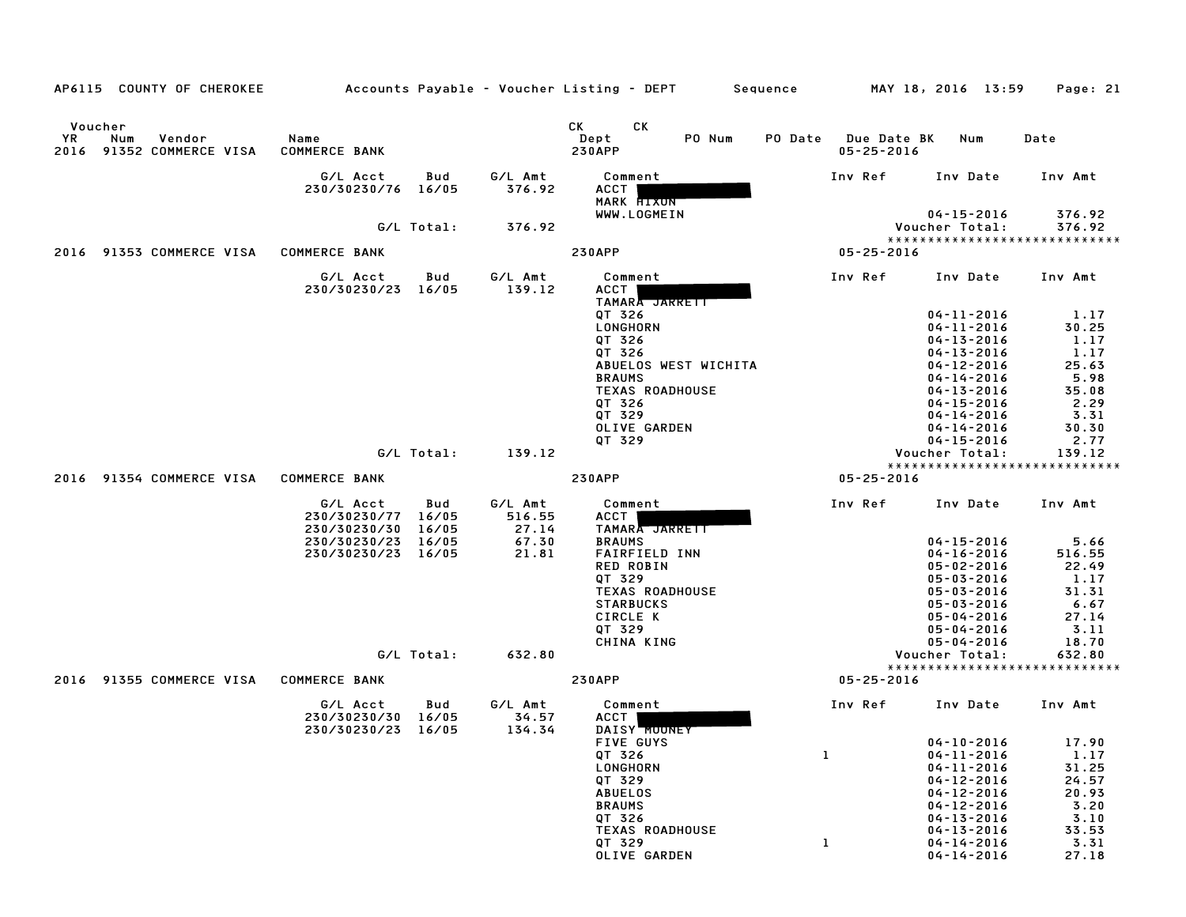| AP6115 COUNTY OF CHEROKEE                        | Accounts Payable – Voucher Listing – DEPT         Sequence |                       |                            |                                      |                      |         |                                 | MAY 18, 2016 13:59                   | Page: 21         |
|--------------------------------------------------|------------------------------------------------------------|-----------------------|----------------------------|--------------------------------------|----------------------|---------|---------------------------------|--------------------------------------|------------------|
| Voucher                                          |                                                            |                       |                            | СK<br>CK                             |                      |         |                                 |                                      |                  |
| YR.<br>Num<br>Vendor<br>2016 91352 COMMERCE VISA | Name<br><b>COMMERCE BANK</b>                               |                       |                            | Dept<br><b>230APP</b>                | PO Num               | PO Date | Due Date BK<br>$05 - 25 - 2016$ | Num                                  | Date             |
|                                                  | G/L Acct<br>230/30230/76 16/05                             | Bud                   | G/L Amt<br>376.92          | Comment<br>ACCT<br>MARK <b>HIXON</b> |                      |         | Inv Ref                         | Inv Date                             | Inv Amt          |
|                                                  |                                                            | G/L Total:            | 376.92                     | WWW.LOGMEIN                          |                      |         |                                 | $04 - 15 - 2016$<br>Voucher Total:   | 376.92<br>376.92 |
| 2016 91353 COMMERCE VISA                         | <b>COMMERCE BANK</b>                                       |                       |                            | <b>230APP</b>                        |                      |         | $05 - 25 - 2016$                | *****************************        |                  |
|                                                  |                                                            |                       |                            |                                      |                      |         |                                 |                                      |                  |
|                                                  | G/L Acct<br>230/30230/23 16/05                             | Bud                   | G/L Amt<br>139.12          | Comment<br>ACCT<br>TAMARA JARRETT    |                      |         | Inv Ref                         | Inv Date                             | Inv Amt          |
|                                                  |                                                            |                       |                            | QT 326<br>LONGHORN                   |                      |         |                                 | 04-11-2016<br>$04 - 11 - 2016$       | 1.17<br>30.25    |
|                                                  |                                                            |                       |                            | QT 326                               |                      |         |                                 | $04 - 13 - 2016$                     | 1.17             |
|                                                  |                                                            |                       |                            | QT 326                               |                      |         |                                 | $04 - 13 - 2016$                     | 1.17             |
|                                                  |                                                            |                       |                            |                                      | ABUELOS WEST WICHITA |         |                                 | $04 - 12 - 2016$                     | 25.63            |
|                                                  |                                                            |                       |                            | <b>BRAUMS</b>                        |                      |         |                                 | $04 - 14 - 2016$                     | 5.98             |
|                                                  |                                                            |                       |                            | <b>TEXAS ROADHOUSE</b>               |                      |         |                                 | $04 - 13 - 2016$                     | 35.08            |
|                                                  |                                                            |                       |                            | QT 326<br>QT 329                     |                      |         |                                 | $04 - 15 - 2016$<br>$04 - 14 - 2016$ | 2.29<br>3.31     |
|                                                  |                                                            |                       |                            | OLIVE GARDEN                         |                      |         |                                 | $04 - 14 - 2016$                     | 30.30            |
|                                                  |                                                            |                       |                            | QT 329                               |                      |         |                                 | $04 - 15 - 2016$                     | 2.77             |
|                                                  |                                                            | G/L Total:            | 139.12                     |                                      |                      |         |                                 | Voucher Total:                       | 139.12           |
|                                                  |                                                            |                       |                            |                                      |                      |         |                                 | *********************                | **********       |
| 91354 COMMERCE VISA<br>2016                      | <b>COMMERCE BANK</b>                                       |                       |                            | <b>230APP</b>                        |                      |         | $05 - 25 - 2016$                |                                      |                  |
|                                                  | G/L Acct<br>230/30230/77<br>230/30230/30                   | Bud<br>16/05<br>16/05 | G/L Amt<br>516.55<br>27.14 | Comment<br>ACCT<br>TAMARA JARRETT    |                      |         | Inv Ref                         | Inv Date                             | Inv Amt          |
|                                                  | 230/30230/23                                               | 16/05                 | 67.30                      | <b>BRAUMS</b>                        |                      |         |                                 | 04-15-2016                           | 5.66             |
|                                                  | 230/30230/23 16/05                                         |                       | 21.81                      | <b>FAIRFIELD INN</b>                 |                      |         |                                 | $04 - 16 - 2016$                     | 516.55           |
|                                                  |                                                            |                       |                            | <b>RED ROBIN</b>                     |                      |         |                                 | $05 - 02 - 2016$                     | 22.49            |
|                                                  |                                                            |                       |                            | QT 329<br><b>TEXAS ROADHOUSE</b>     |                      |         |                                 | $05 - 03 - 2016$<br>$05 - 03 - 2016$ | 1.17<br>31.31    |
|                                                  |                                                            |                       |                            | <b>STARBUCKS</b>                     |                      |         |                                 | $05 - 03 - 2016$                     | 6.67             |
|                                                  |                                                            |                       |                            | CIRCLE K                             |                      |         |                                 | $05 - 04 - 2016$                     | 27.14            |
|                                                  |                                                            |                       |                            | QT 329                               |                      |         |                                 | $05 - 04 - 2016$                     | 3.11             |
|                                                  |                                                            |                       |                            | CHINA KING                           |                      |         |                                 | $05 - 04 - 2016$                     | 18.70            |
|                                                  |                                                            | G/L Total:            | 632.80                     |                                      |                      |         |                                 | Voucher Total:                       | 632.80           |
| 2016 91355 COMMERCE VISA                         | <b>COMMERCE BANK</b>                                       |                       |                            | <b>230APP</b>                        |                      |         | $05 - 25 - 2016$                | *****************************        |                  |
|                                                  | G/L Acct<br>230/30230/30 16/05                             | Bud                   | G/L Amt<br>34.57           | Comment<br>ACCT                      |                      |         | Inv Ref                         | Inv Date                             | Inv Amt          |
|                                                  | 230/30230/23 16/05                                         |                       | 134.34                     | DAISY MOONEY                         |                      |         |                                 |                                      |                  |
|                                                  |                                                            |                       |                            | <b>FIVE GUYS</b><br>QT 326           |                      |         | 1                               | $04 - 10 - 2016$<br>$04 - 11 - 2016$ | 17.90<br>1.17    |
|                                                  |                                                            |                       |                            | LONGHORN                             |                      |         |                                 | $04 - 11 - 2016$                     | 31.25            |
|                                                  |                                                            |                       |                            | QT 329                               |                      |         |                                 | $04 - 12 - 2016$                     | 24.57            |
|                                                  |                                                            |                       |                            | <b>ABUELOS</b>                       |                      |         |                                 | $04 - 12 - 2016$                     | 20.93            |
|                                                  |                                                            |                       |                            | <b>BRAUMS</b>                        |                      |         |                                 | $04 - 12 - 2016$                     | 3.20             |
|                                                  |                                                            |                       |                            | QT 326                               |                      |         |                                 | $04 - 13 - 2016$                     | 3.10             |
|                                                  |                                                            |                       |                            | <b>TEXAS ROADHOUSE</b>               |                      |         |                                 | $04 - 13 - 2016$                     | 33.53            |
|                                                  |                                                            |                       |                            | QT 329<br>OLIVE GARDEN               |                      |         | 1                               | $04 - 14 - 2016$<br>$04 - 14 - 2016$ | 3.31<br>27.18    |
|                                                  |                                                            |                       |                            |                                      |                      |         |                                 |                                      |                  |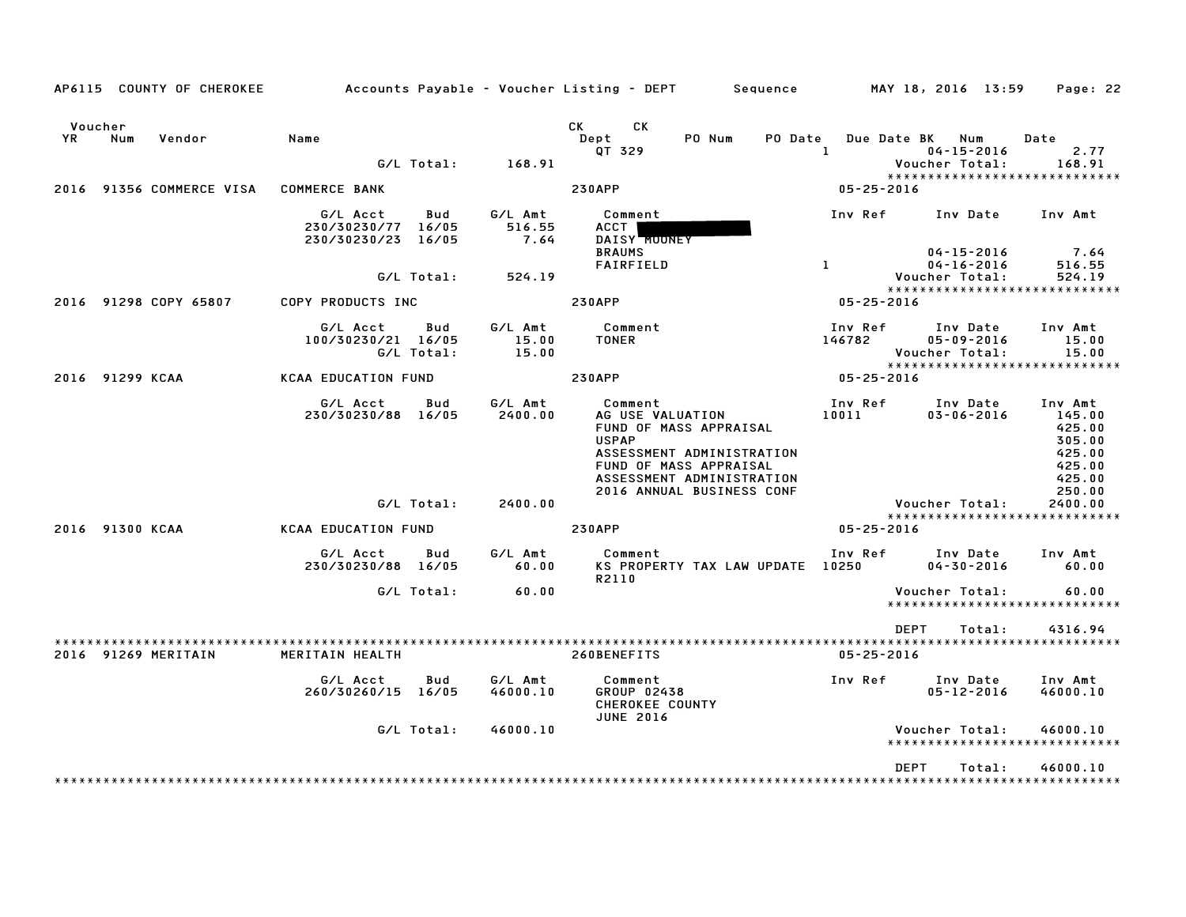|               | AP6115 COUNTY OF CHEROKEE |                                                      |                   |                           | Accounts Payable - Voucher Listing - DEPT Sequence MAY 18, 2016 13:59                                                                                                                  |                          |                                                                                        | Page: 22                                                                      |
|---------------|---------------------------|------------------------------------------------------|-------------------|---------------------------|----------------------------------------------------------------------------------------------------------------------------------------------------------------------------------------|--------------------------|----------------------------------------------------------------------------------------|-------------------------------------------------------------------------------|
| Voucher<br>YR | Num<br>Vendor             | Name                                                 |                   | G/L Total: 168.91         | CK CK<br>PO Num<br>Dept<br>PO Date<br>QT 329                                                                                                                                           | 1                        | Due Date BK Num<br>$04 - 15 - 2016$<br>Voucher Total:<br>***************************** | Date<br>2.77<br>168.91                                                        |
|               | 2016 91356 COMMERCE VISA  | <b>COMMERCE BANK</b>                                 |                   |                           | <b>230APP</b>                                                                                                                                                                          | $05 - 25 - 2016$         |                                                                                        |                                                                               |
|               |                           | G/L Acct<br>230/30230/77 16/05<br>230/30230/23 16/05 | Bud               | G/L Amt<br>516.55<br>7.64 | Comment<br>ACCT<br>DAISY MOONEY<br><b>BRAUMS</b>                                                                                                                                       | Inv Ref                  | $04 - 15 - 2016$                                                                       | Inv Date Inv Amt<br>7.64                                                      |
|               |                           |                                                      | G/L Total:        | 524.19                    | FAIRFIELD                                                                                                                                                                              | $\mathbf{1}$             | $04 - 16 - 2016$<br>Voucher Total:                                                     | 516.55<br>524.19                                                              |
|               | 2016 91298 COPY 65807     | COPY PRODUCTS INC                                    |                   |                           | <b>230APP</b>                                                                                                                                                                          | $05 - 25 - 2016$         | *****************************                                                          |                                                                               |
|               |                           | G/L Acct<br>100/30230/21 16/05                       | Bud<br>G/L Total: | G/L Amt<br>15.00<br>15.00 | Comment<br><b>TONER</b>                                                                                                                                                                | Inv Ref<br>146782        | Inv Date<br>$05 - 09 - 2016$<br>Voucher Total:<br>*****************************        | Inv Amt<br>15.00<br>15.00                                                     |
|               | 2016 91299 KCAA           | <b>KCAA EDUCATION FUND</b>                           |                   |                           | <b>230APP</b>                                                                                                                                                                          | بيبيبي<br>2016 - 05 - 05 |                                                                                        |                                                                               |
|               |                           | G/L Acct<br>230/30230/88 16/05                       | Bud               | G⁄L Amt<br>2400.00        | Comment<br>AG USE VALUATION<br>FUND OF MASS APPRAISAL<br><b>USPAP</b><br>ASSESSMENT ADMINISTRATION<br>FUND OF MASS APPRAISAL<br>ASSESSMENT ADMINISTRATION<br>2016 ANNUAL BUSINESS CONF | 10011 700                | Inv Ref      Inv Date<br>$03 - 06 - 2016$                                              | Inv Amt<br>145.00<br>425.00<br>305.00<br>425.00<br>425.00<br>425.00<br>250.00 |
|               |                           |                                                      | G/L Total:        | 2400.00                   |                                                                                                                                                                                        |                          | Voucher Total:                                                                         | 2400.00                                                                       |
|               | 2016 91300 KCAA           | <b>KCAA EDUCATION FUND</b>                           |                   |                           | <b>230APP</b>                                                                                                                                                                          | $05 - 25 - 2016$         | *****************************                                                          |                                                                               |
|               |                           | G/L Acct<br>230/30230/88 16/05                       | Bud               | G⁄L Amt<br>60.00          | Comment<br>KS PROPERTY TAX LAW UPDATE 10250<br>R2110                                                                                                                                   |                          | Inv Ref Inv Date<br>04-30-2016                                                         | Inv Amt<br>60.00                                                              |
|               |                           |                                                      | G/L Total:        | 60.00                     |                                                                                                                                                                                        |                          | Voucher Total:<br>*****************************                                        | 60.00                                                                         |
|               |                           |                                                      |                   |                           |                                                                                                                                                                                        |                          |                                                                                        |                                                                               |
|               |                           |                                                      |                   |                           |                                                                                                                                                                                        |                          | <b>DEPT</b><br>Total:                                                                  | 4316.94                                                                       |
|               | 2016 91269 MERITAIN       | MERITAIN HEALTH                                      |                   |                           | 260BENEFITS                                                                                                                                                                            | $05 - 25 - 2016$         |                                                                                        |                                                                               |
|               |                           | G/L Acct<br>260/30260/15 16/05                       | Bud               | G/L Amt<br>46000.10       | Comment<br>GROUP 02438<br>CHEROKEE COUNTY<br><b>JUNE 2016</b>                                                                                                                          | Inv Ref                  | Inv Date<br>$05 - 12 - 2016$                                                           | Inv Amt<br>46000.10                                                           |
|               |                           |                                                      | G/L Total:        | 46000.10                  |                                                                                                                                                                                        |                          | Voucher Total:<br>*****************************                                        | 46000.10                                                                      |
|               |                           |                                                      |                   |                           |                                                                                                                                                                                        |                          | <b>DEPT</b><br>Total:                                                                  | 46000.10                                                                      |